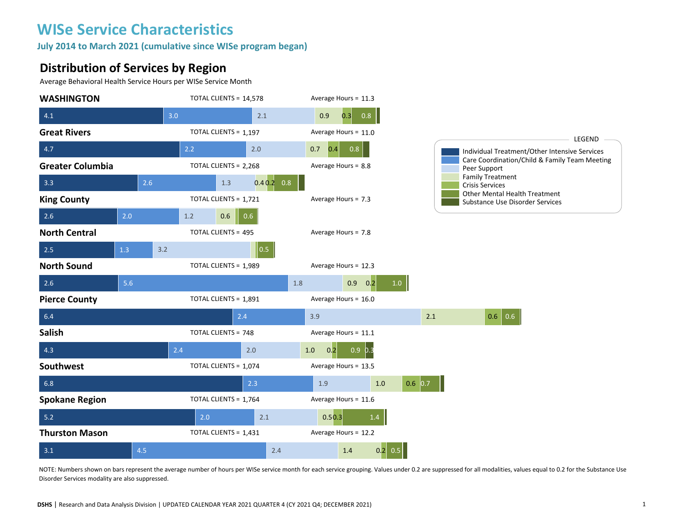**July 2014 to March 2021 (cumulative since WISe program began)** 

#### **Distribution of Services by Region**

Average Behavioral Health Service Hours per WISe Service Month



NOTE: Numbers shown on bars represent the average number of hours per WISe service month for each service grouping. Values under 0.2 are suppressed for all modalities, values equal to 0.2 for the Substance Use Disorder Services modality are also suppressed.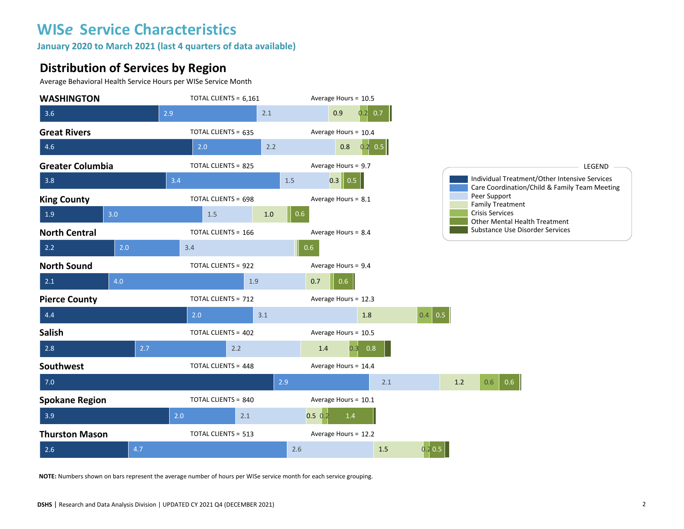**January 2020 to March 2021 (last 4 quarters of data available)**

#### **Distribution of Services by Region**

Average Behavioral Health Service Hours per WISe Service Month



**NOTE:** Numbers shown on bars represent the average number of hours per WISe service month for each service grouping.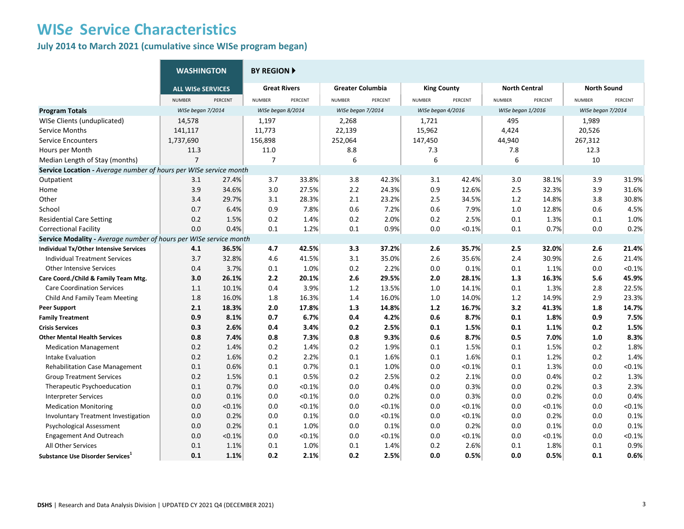**July 2014 to March 2021 (cumulative since WISe program began)** 

|                                                                   | <b>WASHINGTON</b>        |         | <b>BY REGION</b>    |         |                         |         |                    |           |                      |         |                    |           |
|-------------------------------------------------------------------|--------------------------|---------|---------------------|---------|-------------------------|---------|--------------------|-----------|----------------------|---------|--------------------|-----------|
|                                                                   | <b>ALL WISE SERVICES</b> |         | <b>Great Rivers</b> |         | <b>Greater Columbia</b> |         | <b>King County</b> |           | <b>North Central</b> |         | <b>North Sound</b> |           |
|                                                                   | <b>NUMBER</b>            | PERCENT | <b>NUMBER</b>       | PERCENT | <b>NUMBER</b>           | PERCENT | <b>NUMBER</b>      | PERCENT   | <b>NUMBER</b>        | PERCENT | <b>NUMBER</b>      | PERCENT   |
| <b>Program Totals</b>                                             | WISe began 7/2014        |         | WISe began 8/2014   |         | WISe began 7/2014       |         | WISe began 4/2016  |           | WISe began 1/2016    |         | WISe began 7/2014  |           |
| WISe Clients (unduplicated)                                       | 14,578                   |         | 1,197               |         | 2,268                   |         | 1,721              |           | 495                  |         | 1,989              |           |
| <b>Service Months</b>                                             | 141,117                  |         | 11,773              |         | 22,139                  |         | 15,962             |           | 4,424                |         | 20,526             |           |
| <b>Service Encounters</b>                                         | 1,737,690                |         | 156,898             |         | 252,064                 |         | 147,450            |           | 44,940               |         | 267,312            |           |
| Hours per Month                                                   | 11.3                     |         | 11.0                |         | 8.8                     |         | 7.3                |           | 7.8                  |         | 12.3               |           |
| Median Length of Stay (months)                                    | $\overline{7}$           |         | $\overline{7}$      |         | 6                       |         | 6                  |           | 6                    |         | 10                 |           |
| Service Location - Average number of hours per WISe service month |                          |         |                     |         |                         |         |                    |           |                      |         |                    |           |
| Outpatient                                                        | 3.1                      | 27.4%   | 3.7                 | 33.8%   | 3.8                     | 42.3%   | 3.1                | 42.4%     | 3.0                  | 38.1%   | 3.9                | 31.9%     |
| Home                                                              | 3.9                      | 34.6%   | 3.0                 | 27.5%   | 2.2                     | 24.3%   | 0.9                | 12.6%     | 2.5                  | 32.3%   | 3.9                | 31.6%     |
| Other                                                             | 3.4                      | 29.7%   | 3.1                 | 28.3%   | 2.1                     | 23.2%   | 2.5                | 34.5%     | 1.2                  | 14.8%   | 3.8                | 30.8%     |
| School                                                            | 0.7                      | 6.4%    | 0.9                 | 7.8%    | 0.6                     | 7.2%    | 0.6                | 7.9%      | 1.0                  | 12.8%   | 0.6                | 4.5%      |
| <b>Residential Care Setting</b>                                   | 0.2                      | 1.5%    | 0.2                 | 1.4%    | 0.2                     | 2.0%    | 0.2                | 2.5%      | 0.1                  | 1.3%    | 0.1                | 1.0%      |
| <b>Correctional Facility</b>                                      | 0.0                      | 0.4%    | 0.1                 | 1.2%    | 0.1                     | 0.9%    | 0.0                | $< 0.1\%$ | 0.1                  | 0.7%    | 0.0                | 0.2%      |
| Service Modality - Average number of hours per WISe service month |                          |         |                     |         |                         |         |                    |           |                      |         |                    |           |
| Individual Tx/Other Intensive Services                            | 4.1                      | 36.5%   | 4.7                 | 42.5%   | 3.3                     | 37.2%   | 2.6                | 35.7%     | 2.5                  | 32.0%   | 2.6                | 21.4%     |
| <b>Individual Treatment Services</b>                              | 3.7                      | 32.8%   | 4.6                 | 41.5%   | 3.1                     | 35.0%   | 2.6                | 35.6%     | 2.4                  | 30.9%   | 2.6                | 21.4%     |
| <b>Other Intensive Services</b>                                   | 0.4                      | 3.7%    | 0.1                 | 1.0%    | 0.2                     | 2.2%    | 0.0                | 0.1%      | 0.1                  | 1.1%    | 0.0                | < 0.1%    |
| Care Coord./Child & Family Team Mtg.                              | 3.0                      | 26.1%   | 2.2                 | 20.1%   | 2.6                     | 29.5%   | 2.0                | 28.1%     | 1.3                  | 16.3%   | 5.6                | 45.9%     |
| <b>Care Coordination Services</b>                                 | 1.1                      | 10.1%   | 0.4                 | 3.9%    | 1.2                     | 13.5%   | 1.0                | 14.1%     | 0.1                  | 1.3%    | 2.8                | 22.5%     |
| Child And Family Team Meeting                                     | 1.8                      | 16.0%   | 1.8                 | 16.3%   | 1.4                     | 16.0%   | $1.0$              | 14.0%     | 1.2                  | 14.9%   | 2.9                | 23.3%     |
| <b>Peer Support</b>                                               | 2.1                      | 18.3%   | 2.0                 | 17.8%   | 1.3                     | 14.8%   | 1.2                | 16.7%     | 3.2                  | 41.3%   | $1.8\,$            | 14.7%     |
| <b>Family Treatment</b>                                           | 0.9                      | 8.1%    | 0.7                 | 6.7%    | 0.4                     | 4.2%    | 0.6                | 8.7%      | 0.1                  | 1.8%    | 0.9                | 7.5%      |
| <b>Crisis Services</b>                                            | 0.3                      | 2.6%    | 0.4                 | 3.4%    | 0.2                     | 2.5%    | 0.1                | 1.5%      | 0.1                  | 1.1%    | 0.2                | 1.5%      |
| <b>Other Mental Health Services</b>                               | 0.8                      | 7.4%    | 0.8                 | 7.3%    | 0.8                     | 9.3%    | 0.6                | 8.7%      | 0.5                  | 7.0%    | 1.0                | 8.3%      |
| <b>Medication Management</b>                                      | 0.2                      | 1.4%    | 0.2                 | 1.4%    | 0.2                     | 1.9%    | 0.1                | 1.5%      | 0.1                  | 1.5%    | 0.2                | 1.8%      |
| Intake Evaluation                                                 | 0.2                      | 1.6%    | 0.2                 | 2.2%    | 0.1                     | 1.6%    | 0.1                | 1.6%      | 0.1                  | 1.2%    | 0.2                | 1.4%      |
| <b>Rehabilitation Case Management</b>                             | 0.1                      | 0.6%    | 0.1                 | 0.7%    | 0.1                     | 1.0%    | 0.0                | < 0.1%    | 0.1                  | 1.3%    | 0.0                | $< 0.1\%$ |
| <b>Group Treatment Services</b>                                   | 0.2                      | 1.5%    | 0.1                 | 0.5%    | 0.2                     | 2.5%    | 0.2                | 2.1%      | 0.0                  | 0.4%    | 0.2                | 1.3%      |
| Therapeutic Psychoeducation                                       | 0.1                      | 0.7%    | 0.0                 | < 0.1%  | 0.0                     | 0.4%    | 0.0                | 0.3%      | 0.0                  | 0.2%    | 0.3                | 2.3%      |
| <b>Interpreter Services</b>                                       | 0.0                      | 0.1%    | 0.0                 | < 0.1%  | 0.0                     | 0.2%    | 0.0                | 0.3%      | 0.0                  | 0.2%    | 0.0                | 0.4%      |
| <b>Medication Monitoring</b>                                      | 0.0                      | < 0.1%  | 0.0                 | < 0.1%  | 0.0                     | < 0.1%  | 0.0                | < 0.1%    | 0.0                  | < 0.1%  | 0.0                | < 0.1%    |
| Involuntary Treatment Investigation                               | 0.0                      | 0.2%    | 0.0                 | 0.1%    | 0.0                     | < 0.1%  | 0.0                | < 0.1%    | 0.0                  | 0.2%    | 0.0                | 0.1%      |
| Psychological Assessment                                          | 0.0                      | 0.2%    | 0.1                 | 1.0%    | 0.0                     | 0.1%    | 0.0                | 0.2%      | 0.0                  | 0.1%    | 0.0                | 0.1%      |
| <b>Engagement And Outreach</b>                                    | 0.0                      | < 0.1%  | 0.0                 | < 0.1%  | 0.0                     | < 0.1%  | 0.0                | < 0.1%    | 0.0                  | < 0.1%  | 0.0                | < 0.1%    |
| All Other Services                                                | 0.1                      | 1.1%    | 0.1                 | 1.0%    | 0.1                     | 1.4%    | 0.2                | 2.6%      | 0.1                  | 1.8%    | 0.1                | 0.9%      |
| Substance Use Disorder Services                                   | 0.1                      | 1.1%    | 0.2                 | 2.1%    | 0.2                     | 2.5%    | 0.0                | 0.5%      | 0.0                  | 0.5%    | 0.1                | 0.6%      |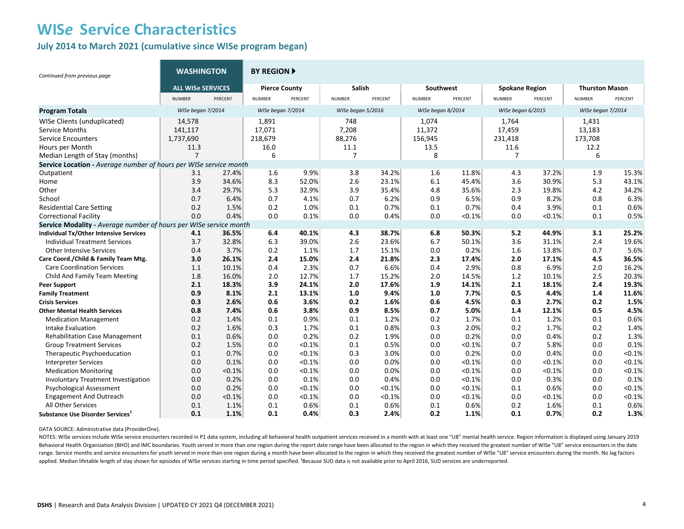#### **July 2014 to March 2021 (cumulative since WISe program began)**

| Continued from previous page                                      | <b>WASHINGTON</b>        |         | <b>BY REGION ▶</b>   |         |                   |         |                   |         |                       |         |                       |         |
|-------------------------------------------------------------------|--------------------------|---------|----------------------|---------|-------------------|---------|-------------------|---------|-----------------------|---------|-----------------------|---------|
|                                                                   | <b>ALL WISE SERVICES</b> |         | <b>Pierce County</b> |         | Salish            |         | Southwest         |         | <b>Spokane Region</b> |         | <b>Thurston Mason</b> |         |
|                                                                   | <b>NUMBER</b>            | PERCENT | <b>NUMBER</b>        | PERCENT | <b>NUMBER</b>     | PERCENT | <b>NUMBER</b>     | PERCENT | <b>NUMBER</b>         | PERCENT | <b>NUMBER</b>         | PERCENT |
| <b>Program Totals</b>                                             | WISe began 7/2014        |         | WISe began 7/2014    |         | WISe began 5/2016 |         | WISe began 8/2014 |         | WISe began 6/2015     |         | WISe began 7/2014     |         |
| WISe Clients (unduplicated)                                       | 14,578                   |         | 1,891                |         | 748               |         | 1,074             |         | 1,764                 |         | 1,431                 |         |
| <b>Service Months</b>                                             | 141,117                  |         | 17,071               |         | 7,208             |         | 11,372            |         | 17,459                |         | 13,183                |         |
| <b>Service Encounters</b>                                         | 1,737,690                |         | 218,679              |         | 88,276            |         | 156,945           |         | 231,418               |         | 173,708               |         |
| Hours per Month                                                   | 11.3                     |         | 16.0                 |         | 11.1              |         | 13.5              |         | 11.6                  |         | 12.2                  |         |
| Median Length of Stay (months)                                    | $\overline{7}$           |         | 6                    |         | $\overline{7}$    |         | 8                 |         | 7                     |         | 6                     |         |
| Service Location - Average number of hours per WISe service month |                          |         |                      |         |                   |         |                   |         |                       |         |                       |         |
| Outpatient                                                        | 3.1                      | 27.4%   | 1.6                  | 9.9%    | 3.8               | 34.2%   | 1.6               | 11.8%   | 4.3                   | 37.2%   | 1.9                   | 15.3%   |
| Home                                                              | 3.9                      | 34.6%   | 8.3                  | 52.0%   | 2.6               | 23.1%   | 6.1               | 45.4%   | 3.6                   | 30.9%   | 5.3                   | 43.1%   |
| Other                                                             | 3.4                      | 29.7%   | 5.3                  | 32.9%   | 3.9               | 35.4%   | 4.8               | 35.6%   | 2.3                   | 19.8%   | 4.2                   | 34.2%   |
| School                                                            | 0.7                      | 6.4%    | 0.7                  | 4.1%    | 0.7               | 6.2%    | 0.9               | 6.5%    | 0.9                   | 8.2%    | 0.8                   | 6.3%    |
| <b>Residential Care Setting</b>                                   | 0.2                      | 1.5%    | 0.2                  | 1.0%    | 0.1               | 0.7%    | 0.1               | 0.7%    | 0.4                   | 3.9%    | 0.1                   | 0.6%    |
| <b>Correctional Facility</b>                                      | 0.0                      | 0.4%    | 0.0                  | 0.1%    | 0.0               | 0.4%    | 0.0               | < 0.1%  | 0.0                   | < 0.1%  | 0.1                   | 0.5%    |
| Service Modality - Average number of hours per WISe service month |                          |         |                      |         |                   |         |                   |         |                       |         |                       |         |
| Individual Tx/Other Intensive Services                            | 4.1                      | 36.5%   | 6.4                  | 40.1%   | 4.3               | 38.7%   | 6.8               | 50.3%   | 5.2                   | 44.9%   | 3.1                   | 25.2%   |
| <b>Individual Treatment Services</b>                              | 3.7                      | 32.8%   | 6.3                  | 39.0%   | 2.6               | 23.6%   | 6.7               | 50.1%   | 3.6                   | 31.1%   | 2.4                   | 19.6%   |
| <b>Other Intensive Services</b>                                   | 0.4                      | 3.7%    | 0.2                  | 1.1%    | 1.7               | 15.1%   | 0.0               | 0.2%    | 1.6                   | 13.8%   | 0.7                   | 5.6%    |
| Care Coord./Child & Family Team Mtg.                              | 3.0                      | 26.1%   | 2.4                  | 15.0%   | 2.4               | 21.8%   | 2.3               | 17.4%   | 2.0                   | 17.1%   | 4.5                   | 36.5%   |
| <b>Care Coordination Services</b>                                 | 1.1                      | 10.1%   | 0.4                  | 2.3%    | 0.7               | 6.6%    | 0.4               | 2.9%    | 0.8                   | 6.9%    | 2.0                   | 16.2%   |
| Child And Family Team Meeting                                     | 1.8                      | 16.0%   | 2.0                  | 12.7%   | 1.7               | 15.2%   | 2.0               | 14.5%   | 1.2                   | 10.1%   | 2.5                   | 20.3%   |
| <b>Peer Support</b>                                               | 2.1                      | 18.3%   | 3.9                  | 24.1%   | 2.0               | 17.6%   | 1.9               | 14.1%   | 2.1                   | 18.1%   | 2.4                   | 19.3%   |
| <b>Family Treatment</b>                                           | 0.9                      | 8.1%    | 2.1                  | 13.1%   | 1.0               | 9.4%    | 1.0               | 7.7%    | 0.5                   | 4.4%    | 1.4                   | 11.6%   |
| <b>Crisis Services</b>                                            | 0.3                      | 2.6%    | 0.6                  | 3.6%    | 0.2               | 1.6%    | 0.6               | 4.5%    | 0.3                   | 2.7%    | 0.2                   | 1.5%    |
| <b>Other Mental Health Services</b>                               | 0.8                      | 7.4%    | 0.6                  | 3.8%    | 0.9               | 8.5%    | 0.7               | 5.0%    | 1.4                   | 12.1%   | 0.5                   | 4.5%    |
| <b>Medication Management</b>                                      | 0.2                      | 1.4%    | 0.1                  | 0.9%    | 0.1               | 1.2%    | 0.2               | 1.7%    | 0.1                   | 1.2%    | 0.1                   | 0.6%    |
| Intake Evaluation                                                 | 0.2                      | 1.6%    | 0.3                  | 1.7%    | 0.1               | 0.8%    | 0.3               | 2.0%    | 0.2                   | 1.7%    | 0.2                   | 1.4%    |
| <b>Rehabilitation Case Management</b>                             | 0.1                      | 0.6%    | 0.0                  | 0.2%    | 0.2               | 1.9%    | 0.0               | 0.2%    | 0.0                   | 0.4%    | 0.2                   | 1.3%    |
| <b>Group Treatment Services</b>                                   | 0.2                      | 1.5%    | 0.0                  | < 0.1%  | 0.1               | 0.5%    | 0.0               | < 0.1%  | 0.7                   | 5.8%    | 0.0                   | 0.1%    |
| Therapeutic Psychoeducation                                       | 0.1                      | 0.7%    | 0.0                  | < 0.1%  | 0.3               | 3.0%    | 0.0               | 0.2%    | 0.0                   | 0.4%    | 0.0                   | < 0.1%  |
| <b>Interpreter Services</b>                                       | 0.0                      | 0.1%    | 0.0                  | < 0.1%  | 0.0               | 0.0%    | 0.0               | < 0.1%  | 0.0                   | < 0.1%  | 0.0                   | < 0.1%  |
| <b>Medication Monitoring</b>                                      | 0.0                      | < 0.1%  | 0.0                  | < 0.1%  | 0.0               | 0.0%    | 0.0               | < 0.1%  | 0.0                   | < 0.1%  | 0.0                   | < 0.1%  |
| <b>Involuntary Treatment Investigation</b>                        | 0.0                      | 0.2%    | 0.0                  | 0.1%    | 0.0               | 0.4%    | 0.0               | < 0.1%  | 0.0                   | 0.3%    | 0.0                   | 0.1%    |
| <b>Psychological Assessment</b>                                   | 0.0                      | 0.2%    | 0.0                  | < 0.1%  | 0.0               | < 0.1%  | 0.0               | < 0.1%  | 0.1                   | 0.6%    | 0.0                   | < 0.1%  |
| <b>Engagement And Outreach</b>                                    | 0.0                      | < 0.1%  | 0.0                  | < 0.1%  | 0.0               | < 0.1%  | 0.0               | < 0.1%  | 0.0                   | < 0.1%  | 0.0                   | < 0.1%  |
| <b>All Other Services</b>                                         | 0.1                      | 1.1%    | 0.1                  | 0.6%    | 0.1               | 0.6%    | 0.1               | 0.6%    | 0.2                   | 1.6%    | 0.1                   | 0.6%    |
| Substance Use Disorder Services <sup>1</sup>                      | 0.1                      | 1.1%    | 0.1                  | 0.4%    | 0.3               | 2.4%    | 0.2               | 1.1%    | 0.1                   | 0.7%    | 0.2                   | 1.3%    |

DATA SOURCE: Administrative data (ProviderOne).

NOTES: WISe services include WISe service encounters recorded in P1 data system, including all behavioral health outpatient services received in a month with at least one "U8" mental health service. Region information is d Behavioral Health Organization (BHO) and IMC boundaries. Youth served in more than one region during the report date range have been allocated to the region in which they received the greatest number of WISe "U8" service e range. Service months and service encounters for youth served in more than one region during a month have been allocated to the region in which they received the greatest number of WISe "U8" service encounters during the m applied. Median lifetable length of stay shown for episodes of WISe services starting in time period specified. 'Because SUD data is not available prior to April 2016, SUD services are underreported.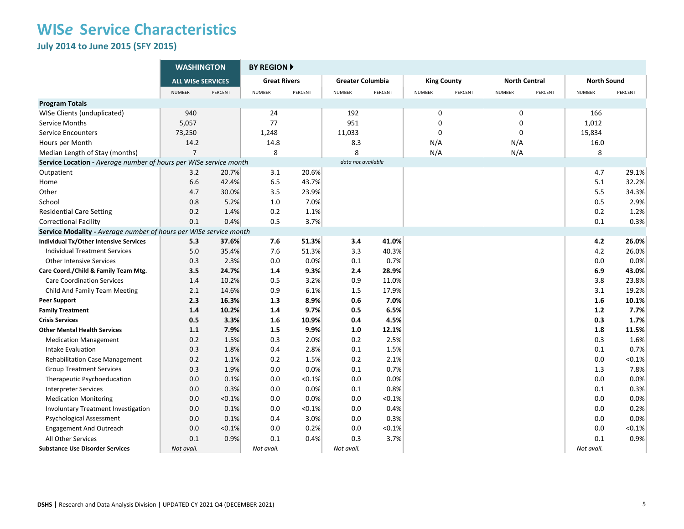**July 2014 to June 2015 (SFY 2015)** 

|                                                                   | <b>WASHINGTON</b>        |         | <b>BY REGION A</b>  |         |                         |         |                    |         |                      |         |                    |           |
|-------------------------------------------------------------------|--------------------------|---------|---------------------|---------|-------------------------|---------|--------------------|---------|----------------------|---------|--------------------|-----------|
|                                                                   | <b>ALL WISe SERVICES</b> |         | <b>Great Rivers</b> |         | <b>Greater Columbia</b> |         | <b>King County</b> |         | <b>North Central</b> |         | <b>North Sound</b> |           |
|                                                                   | <b>NUMBER</b>            | PERCENT | <b>NUMBER</b>       | PERCENT | <b>NUMBER</b>           | PERCENT | <b>NUMBER</b>      | PERCENT | <b>NUMBER</b>        | PERCENT | <b>NUMBER</b>      | PERCENT   |
| <b>Program Totals</b>                                             |                          |         |                     |         |                         |         |                    |         |                      |         |                    |           |
| WISe Clients (unduplicated)                                       | 940                      |         | 24                  |         | 192                     |         | 0                  |         | 0                    |         | 166                |           |
| Service Months                                                    | 5,057                    |         | 77                  |         | 951                     |         | $\mathbf 0$        |         | $\mathbf 0$          |         | 1,012              |           |
| <b>Service Encounters</b>                                         | 73,250                   |         | 1,248               |         | 11,033                  |         | $\Omega$           |         | $\Omega$             |         | 15,834             |           |
| Hours per Month                                                   | 14.2                     |         | 14.8                |         | 8.3                     |         | N/A                |         | N/A                  |         | 16.0               |           |
| Median Length of Stay (months)                                    | $\overline{7}$           |         | 8                   |         | 8                       |         | N/A                |         | N/A                  |         | 8                  |           |
| Service Location - Average number of hours per WISe service month |                          |         |                     |         | data not available      |         |                    |         |                      |         |                    |           |
| Outpatient                                                        | 3.2                      | 20.7%   | 3.1                 | 20.6%   |                         |         |                    |         |                      |         | 4.7                | 29.1%     |
| Home                                                              | 6.6                      | 42.4%   | 6.5                 | 43.7%   |                         |         |                    |         |                      |         | 5.1                | 32.2%     |
| Other                                                             | 4.7                      | 30.0%   | 3.5                 | 23.9%   |                         |         |                    |         |                      |         | 5.5                | 34.3%     |
| School                                                            | 0.8                      | 5.2%    | 1.0                 | 7.0%    |                         |         |                    |         |                      |         | 0.5                | 2.9%      |
| <b>Residential Care Setting</b>                                   | 0.2                      | 1.4%    | 0.2                 | 1.1%    |                         |         |                    |         |                      |         | 0.2                | 1.2%      |
| <b>Correctional Facility</b>                                      | 0.1                      | 0.4%    | 0.5                 | 3.7%    |                         |         |                    |         |                      |         | 0.1                | 0.3%      |
| Service Modality - Average number of hours per WISe service month |                          |         |                     |         |                         |         |                    |         |                      |         |                    |           |
| <b>Individual Tx/Other Intensive Services</b>                     | 5.3                      | 37.6%   | 7.6                 | 51.3%   | 3.4                     | 41.0%   |                    |         |                      |         | 4.2                | 26.0%     |
| <b>Individual Treatment Services</b>                              | 5.0                      | 35.4%   | 7.6                 | 51.3%   | 3.3                     | 40.3%   |                    |         |                      |         | 4.2                | 26.0%     |
| <b>Other Intensive Services</b>                                   | 0.3                      | 2.3%    | 0.0                 | 0.0%    | 0.1                     | 0.7%    |                    |         |                      |         | 0.0                | 0.0%      |
| Care Coord./Child & Family Team Mtg.                              | 3.5                      | 24.7%   | 1.4                 | 9.3%    | 2.4                     | 28.9%   |                    |         |                      |         | 6.9                | 43.0%     |
| <b>Care Coordination Services</b>                                 | 1.4                      | 10.2%   | 0.5                 | 3.2%    | 0.9                     | 11.0%   |                    |         |                      |         | 3.8                | 23.8%     |
| Child And Family Team Meeting                                     | 2.1                      | 14.6%   | 0.9                 | 6.1%    | 1.5                     | 17.9%   |                    |         |                      |         | 3.1                | 19.2%     |
| <b>Peer Support</b>                                               | 2.3                      | 16.3%   | 1.3                 | 8.9%    | 0.6                     | 7.0%    |                    |         |                      |         | 1.6                | 10.1%     |
| <b>Family Treatment</b>                                           | 1.4                      | 10.2%   | 1.4                 | 9.7%    | 0.5                     | 6.5%    |                    |         |                      |         | 1.2                | 7.7%      |
| <b>Crisis Services</b>                                            | 0.5                      | 3.3%    | 1.6                 | 10.9%   | 0.4                     | 4.5%    |                    |         |                      |         | 0.3                | 1.7%      |
| <b>Other Mental Health Services</b>                               | 1.1                      | 7.9%    | 1.5                 | 9.9%    | 1.0                     | 12.1%   |                    |         |                      |         | 1.8                | 11.5%     |
| <b>Medication Management</b>                                      | 0.2                      | 1.5%    | 0.3                 | 2.0%    | 0.2                     | 2.5%    |                    |         |                      |         | 0.3                | 1.6%      |
| Intake Evaluation                                                 | 0.3                      | 1.8%    | 0.4                 | 2.8%    | 0.1                     | 1.5%    |                    |         |                      |         | 0.1                | 0.7%      |
| <b>Rehabilitation Case Management</b>                             | 0.2                      | 1.1%    | 0.2                 | 1.5%    | 0.2                     | 2.1%    |                    |         |                      |         | 0.0                | $< 0.1\%$ |
| <b>Group Treatment Services</b>                                   | 0.3                      | 1.9%    | 0.0                 | 0.0%    | 0.1                     | 0.7%    |                    |         |                      |         | 1.3                | 7.8%      |
| Therapeutic Psychoeducation                                       | 0.0                      | 0.1%    | 0.0                 | < 0.1%  | 0.0                     | 0.0%    |                    |         |                      |         | 0.0                | 0.0%      |
| <b>Interpreter Services</b>                                       | 0.0                      | 0.3%    | 0.0                 | 0.0%    | 0.1                     | 0.8%    |                    |         |                      |         | 0.1                | 0.3%      |
| <b>Medication Monitoring</b>                                      | 0.0                      | < 0.1%  | 0.0                 | 0.0%    | 0.0                     | < 0.1%  |                    |         |                      |         | 0.0                | 0.0%      |
| Involuntary Treatment Investigation                               | 0.0                      | 0.1%    | 0.0                 | < 0.1%  | 0.0                     | 0.4%    |                    |         |                      |         | 0.0                | 0.2%      |
| Psychological Assessment                                          | 0.0                      | 0.1%    | 0.4                 | 3.0%    | 0.0                     | 0.3%    |                    |         |                      |         | 0.0                | 0.0%      |
| <b>Engagement And Outreach</b>                                    | 0.0                      | < 0.1%  | 0.0                 | 0.2%    | 0.0                     | < 0.1%  |                    |         |                      |         | 0.0                | $< 0.1\%$ |
| All Other Services                                                | 0.1                      | 0.9%    | 0.1                 | 0.4%    | 0.3                     | 3.7%    |                    |         |                      |         | 0.1                | 0.9%      |
| <b>Substance Use Disorder Services</b>                            | Not avail.               |         | Not avail.          |         | Not avail.              |         |                    |         |                      |         | Not avail.         |           |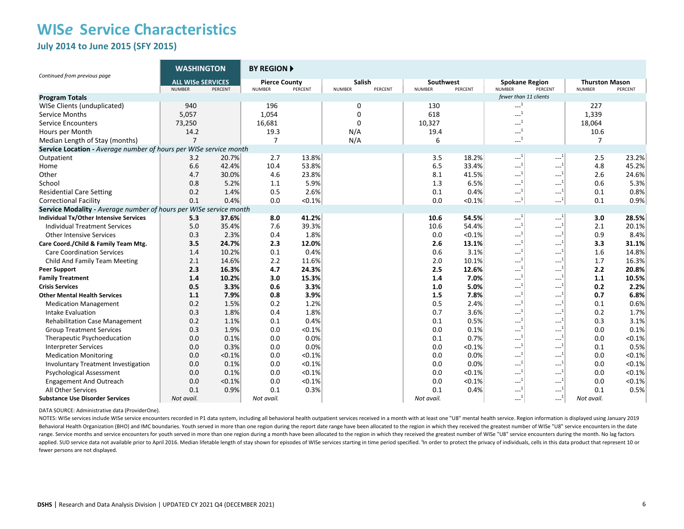**July 2014 to June 2015 (SFY 2015)** 

| Continued from previous page                                      | <b>WASHINGTON</b>                         |         | <b>BY REGION ▶</b>                    |         |                                    |                            |           |                                 |                         |                                        |         |
|-------------------------------------------------------------------|-------------------------------------------|---------|---------------------------------------|---------|------------------------------------|----------------------------|-----------|---------------------------------|-------------------------|----------------------------------------|---------|
|                                                                   | <b>ALL WISe SERVICES</b><br><b>NUMBER</b> | PERCENT | <b>Pierce County</b><br><b>NUMBER</b> | PERCENT | Salish<br><b>NUMBER</b><br>PERCENT | Southwest<br><b>NUMBER</b> | PERCENT   | <b>Spokane Region</b><br>NUMBER | PERCENT                 | <b>Thurston Mason</b><br><b>NUMBER</b> | PERCENT |
| <b>Program Totals</b>                                             |                                           |         |                                       |         |                                    |                            |           | fewer than 11 clients           |                         |                                        |         |
| WISe Clients (unduplicated)                                       | 940                                       |         | 196                                   |         | 0                                  | 130                        |           | $\sim$ <sup>1</sup>             |                         | 227                                    |         |
| Service Months                                                    | 5,057                                     |         | 1,054                                 |         | $\Omega$                           | 618                        |           | $\sim$ <sup>1</sup>             |                         | 1,339                                  |         |
| <b>Service Encounters</b>                                         | 73,250                                    |         | 16,681                                |         | 0                                  | 10,327                     |           | $\sim$ <sup>1</sup>             |                         | 18,064                                 |         |
| Hours per Month                                                   | 14.2                                      |         | 19.3                                  |         | N/A                                | 19.4                       |           | $\sim$ <sup>1</sup>             |                         | 10.6                                   |         |
| Median Length of Stay (months)                                    | $\overline{7}$                            |         | $\overline{7}$                        |         | N/A                                | 6                          |           | $\sim$ <sup>1</sup>             |                         | $\overline{7}$                         |         |
| Service Location - Average number of hours per WISe service month |                                           |         |                                       |         |                                    |                            |           |                                 |                         |                                        |         |
| Outpatient                                                        | 3.2                                       | 20.7%   | 2.7                                   | 13.8%   |                                    | 3.5                        | 18.2%     | $-1$                            | ----                    | 2.5                                    | 23.2%   |
| Home                                                              | 6.6                                       | 42.4%   | 10.4                                  | 53.8%   |                                    | 6.5                        | 33.4%     | $-1$                            | $---1$                  | 4.8                                    | 45.2%   |
| Other                                                             | 4.7                                       | 30.0%   | 4.6                                   | 23.8%   |                                    | 8.1                        | 41.5%     | $\sim$ <sup>1</sup>             | $-1$                    | 2.6                                    | 24.6%   |
| School                                                            | 0.8                                       | 5.2%    | 1.1                                   | 5.9%    |                                    | 1.3                        | 6.5%      | $-1$                            | $---1$                  | 0.6                                    | 5.3%    |
| <b>Residential Care Setting</b>                                   | 0.2                                       | 1.4%    | 0.5                                   | 2.6%    |                                    | 0.1                        | 0.4%      | $\sim$ <sup>1</sup>             | $-1$                    | 0.1                                    | 0.8%    |
| <b>Correctional Facility</b>                                      | 0.1                                       | 0.4%    | 0.0                                   | < 0.1%  |                                    | 0.0                        | $< 0.1\%$ | $\sim$ <sup>1</sup>             | $\sim$ <sup>1</sup>     | 0.1                                    | 0.9%    |
| Service Modality - Average number of hours per WISe service month |                                           |         |                                       |         |                                    |                            |           |                                 |                         |                                        |         |
| Individual Tx/Other Intensive Services                            | 5.3                                       | 37.6%   | 8.0                                   | 41.2%   |                                    | 10.6                       | 54.5%     | $-1$                            | $-1$                    | 3.0                                    | 28.5%   |
| <b>Individual Treatment Services</b>                              | 5.0                                       | 35.4%   | 7.6                                   | 39.3%   |                                    | 10.6                       | 54.4%     | $\ldots \xrightarrow{1}$        | $---1$                  | 2.1                                    | 20.1%   |
| <b>Other Intensive Services</b>                                   | 0.3                                       | 2.3%    | 0.4                                   | 1.8%    |                                    | 0.0                        | $< 0.1\%$ | $\sim$ <sup>1</sup>             | $\overline{1}$<br>---'  | 0.9                                    | 8.4%    |
| Care Coord./Child & Family Team Mtg.                              | 3.5                                       | 24.7%   | 2.3                                   | 12.0%   |                                    | 2.6                        | 13.1%     | $-1$                            | $-1$                    | 3.3                                    | 31.1%   |
| <b>Care Coordination Services</b>                                 | 1.4                                       | 10.2%   | 0.1                                   | 0.4%    |                                    | 0.6                        | 3.1%      | $\sim$ <sup>1</sup>             | ---                     | 1.6                                    | 14.8%   |
| Child And Family Team Meeting                                     | 2.1                                       | 14.6%   | 2.2                                   | 11.6%   |                                    | 2.0                        | 10.1%     | $\overline{1}$<br>---           | -----                   | 1.7                                    | 16.3%   |
| <b>Peer Support</b>                                               | 2.3                                       | 16.3%   | 4.7                                   | 24.3%   |                                    | 2.5                        | 12.6%     | $-1$                            | ---                     | 2.2                                    | 20.8%   |
| <b>Family Treatment</b>                                           | 1.4                                       | 10.2%   | 3.0                                   | 15.3%   |                                    | 1.4                        | 7.0%      | $\sim$ <sup>1</sup>             | ---'                    | 1.1                                    | 10.5%   |
| <b>Crisis Services</b>                                            | 0.5                                       | 3.3%    | 0.6                                   | 3.3%    |                                    | 1.0                        | 5.0%      | $\sim$ <sup>1</sup>             | $\cdots$ <sup>1</sup>   | 0.2                                    | 2.2%    |
| <b>Other Mental Health Services</b>                               | 1.1                                       | 7.9%    | 0.8                                   | 3.9%    |                                    | 1.5                        | 7.8%      | $\sim$ <sup>1</sup>             | $-1$                    | 0.7                                    | 6.8%    |
| <b>Medication Management</b>                                      | 0.2                                       | 1.5%    | 0.2                                   | 1.2%    |                                    | 0.5                        | 2.4%      | $-1$                            | $---1$                  | 0.1                                    | 0.6%    |
| Intake Evaluation                                                 | 0.3                                       | 1.8%    | 0.4                                   | 1.8%    |                                    | 0.7                        | 3.6%      | $\sim$ <sup>1</sup>             | ---'                    | 0.2                                    | 1.7%    |
| <b>Rehabilitation Case Management</b>                             | 0.2                                       | 1.1%    | 0.1                                   | 0.4%    |                                    | 0.1                        | 0.5%      | $-1$                            | $-1$                    | 0.3                                    | 3.1%    |
| <b>Group Treatment Services</b>                                   | 0.3                                       | 1.9%    | 0.0                                   | < 0.1%  |                                    | 0.0                        | 0.1%      | $\mathbb{H}^{1}$                | $\sim$ <sup>1</sup>     | 0.0                                    | 0.1%    |
| Therapeutic Psychoeducation                                       | 0.0                                       | 0.1%    | 0.0                                   | 0.0%    |                                    | 0.1                        | 0.7%      | $\overline{1}$<br>----          | $\overline{1}$<br>----- | 0.0                                    | < 0.1%  |
| <b>Interpreter Services</b>                                       | 0.0                                       | 0.3%    | 0.0                                   | 0.0%    |                                    | 0.0                        | < 0.1%    | $\mathbf{L}^1$                  | $-1$                    | 0.1                                    | 0.5%    |
| <b>Medication Monitoring</b>                                      | 0.0                                       | < 0.1%  | 0.0                                   | < 0.1%  |                                    | 0.0                        | 0.0%      | $-1$                            | -----                   | 0.0                                    | < 0.1%  |
| <b>Involuntary Treatment Investigation</b>                        | 0.0                                       | 0.1%    | 0.0                                   | < 0.1%  |                                    | 0.0                        | 0.0%      | $\mathbb{H}^{11}$               | $\cdots$ <sup>1</sup>   | 0.0                                    | < 0.1%  |
| <b>Psychological Assessment</b>                                   | 0.0                                       | 0.1%    | 0.0                                   | < 0.1%  |                                    | 0.0                        | < 0.1%    | $\sim$ <sup>1</sup>             | $-1$                    | 0.0                                    | < 0.1%  |
| <b>Engagement And Outreach</b>                                    | 0.0                                       | < 0.1%  | 0.0                                   | < 0.1%  |                                    | 0.0                        | < 0.1%    | $-1$                            | $-1$                    | 0.0                                    | < 0.1%  |
| All Other Services                                                | 0.1                                       | 0.9%    | 0.1                                   | 0.3%    |                                    | 0.1                        | 0.4%      | $\overline{1}$<br>---           | $-1$                    | 0.1                                    | 0.5%    |
| <b>Substance Use Disorder Services</b>                            | Not avail.                                |         | Not avail.                            |         |                                    | Not avail.                 |           | $\sim$ <sup>1</sup>             | $-1$                    | Not avail.                             |         |

DATA SOURCE: Administrative data (ProviderOne).

NOTES: WISe services include WISe service encounters recorded in P1 data system, including all behavioral health outpatient services received in a month with at least one "U8" mental health service. Region information is d Behavioral Health Organization (BHO) and IMC boundaries. Youth served in more than one region during the report date range have been allocated to the region in which they received the greatest number of WISe "U8" service e range. Service months and service encounters for youth served in more than one region during a month have been allocated to the region in which they received the greatest number of WISe "U8" service encounters during the m applied. SUD service data not available prior to April 2016. Median lifetable length of stay shown for episodes of WISe services starting in time period specified. <sup>1</sup>In order to protect the privacy of individuals, cells i fewer persons are not displayed.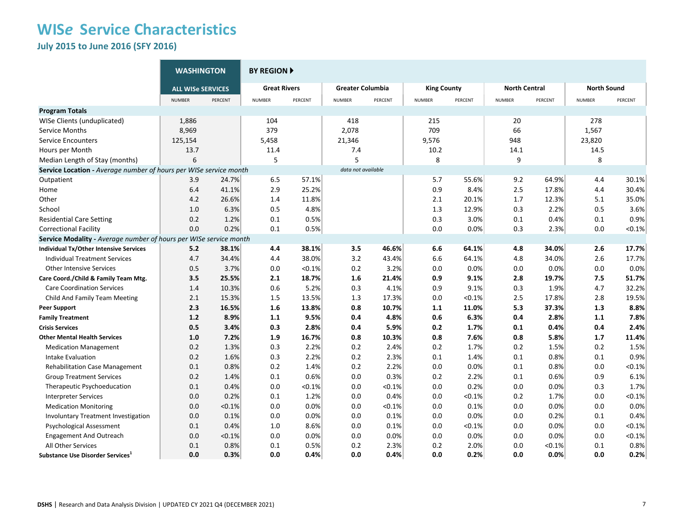**July 2015 to June 2016 (SFY 2016)** 

|                                                                   | <b>WASHINGTON</b>        |         | <b>BY REGION ▶</b>  |           |                         |         |                    |         |                      |         |                    |           |
|-------------------------------------------------------------------|--------------------------|---------|---------------------|-----------|-------------------------|---------|--------------------|---------|----------------------|---------|--------------------|-----------|
|                                                                   | <b>ALL WISe SERVICES</b> |         | <b>Great Rivers</b> |           | <b>Greater Columbia</b> |         | <b>King County</b> |         | <b>North Central</b> |         | <b>North Sound</b> |           |
|                                                                   | <b>NUMBER</b>            | PERCENT | <b>NUMBER</b>       | PERCENT   | <b>NUMBER</b>           | PERCENT | <b>NUMBER</b>      | PERCENT | <b>NUMBER</b>        | PERCENT | <b>NUMBER</b>      | PERCENT   |
| <b>Program Totals</b>                                             |                          |         |                     |           |                         |         |                    |         |                      |         |                    |           |
| WISe Clients (unduplicated)                                       | 1,886                    |         | 104                 |           | 418                     |         | 215                |         | 20                   |         | 278                |           |
| Service Months                                                    | 8,969                    |         | 379                 |           | 2,078                   |         | 709                |         | 66                   |         | 1,567              |           |
| <b>Service Encounters</b>                                         | 125,154                  |         | 5,458               |           | 21,346                  |         | 9,576              |         | 948                  |         | 23,820             |           |
| Hours per Month                                                   | 13.7                     |         | 11.4                |           | 7.4                     |         | 10.2               |         | 14.1                 |         | 14.5               |           |
| Median Length of Stay (months)                                    | 6                        |         | 5                   |           | 5                       |         | 8                  |         | 9                    |         | 8                  |           |
| Service Location - Average number of hours per WISe service month |                          |         |                     |           | data not available      |         |                    |         |                      |         |                    |           |
| Outpatient                                                        | 3.9                      | 24.7%   | 6.5                 | 57.1%     |                         |         | 5.7                | 55.6%   | 9.2                  | 64.9%   | 4.4                | 30.1%     |
| Home                                                              | 6.4                      | 41.1%   | 2.9                 | 25.2%     |                         |         | 0.9                | 8.4%    | 2.5                  | 17.8%   | 4.4                | 30.4%     |
| Other                                                             | 4.2                      | 26.6%   | 1.4                 | 11.8%     |                         |         | 2.1                | 20.1%   | 1.7                  | 12.3%   | 5.1                | 35.0%     |
| School                                                            | 1.0                      | 6.3%    | 0.5                 | 4.8%      |                         |         | 1.3                | 12.9%   | 0.3                  | 2.2%    | 0.5                | 3.6%      |
| <b>Residential Care Setting</b>                                   | 0.2                      | 1.2%    | 0.1                 | 0.5%      |                         |         | 0.3                | 3.0%    | 0.1                  | 0.4%    | 0.1                | 0.9%      |
| <b>Correctional Facility</b>                                      | 0.0                      | 0.2%    | 0.1                 | 0.5%      |                         |         | 0.0                | 0.0%    | 0.3                  | 2.3%    | 0.0                | < 0.1%    |
| Service Modality - Average number of hours per WISe service month |                          |         |                     |           |                         |         |                    |         |                      |         |                    |           |
| <b>Individual Tx/Other Intensive Services</b>                     | 5.2                      | 38.1%   | 4.4                 | 38.1%     | 3.5                     | 46.6%   | 6.6                | 64.1%   | 4.8                  | 34.0%   | 2.6                | 17.7%     |
| <b>Individual Treatment Services</b>                              | 4.7                      | 34.4%   | 4.4                 | 38.0%     | 3.2                     | 43.4%   | 6.6                | 64.1%   | 4.8                  | 34.0%   | 2.6                | 17.7%     |
| <b>Other Intensive Services</b>                                   | 0.5                      | 3.7%    | 0.0                 | < 0.1%    | 0.2                     | 3.2%    | 0.0                | 0.0%    | 0.0                  | 0.0%    | 0.0                | 0.0%      |
| Care Coord./Child & Family Team Mtg.                              | 3.5                      | 25.5%   | 2.1                 | 18.7%     | 1.6                     | 21.4%   | 0.9                | 9.1%    | 2.8                  | 19.7%   | 7.5                | 51.7%     |
| <b>Care Coordination Services</b>                                 | 1.4                      | 10.3%   | 0.6                 | 5.2%      | 0.3                     | 4.1%    | 0.9                | 9.1%    | 0.3                  | 1.9%    | 4.7                | 32.2%     |
| Child And Family Team Meeting                                     | 2.1                      | 15.3%   | 1.5                 | 13.5%     | 1.3                     | 17.3%   | 0.0                | < 0.1%  | 2.5                  | 17.8%   | 2.8                | 19.5%     |
| <b>Peer Support</b>                                               | 2.3                      | 16.5%   | 1.6                 | 13.8%     | 0.8                     | 10.7%   | 1.1                | 11.0%   | 5.3                  | 37.3%   | 1.3                | 8.8%      |
| <b>Family Treatment</b>                                           | 1.2                      | 8.9%    | 1.1                 | 9.5%      | 0.4                     | 4.8%    | 0.6                | 6.3%    | 0.4                  | 2.8%    | 1.1                | 7.8%      |
| <b>Crisis Services</b>                                            | 0.5                      | 3.4%    | 0.3                 | 2.8%      | 0.4                     | 5.9%    | 0.2                | 1.7%    | 0.1                  | 0.4%    | 0.4                | 2.4%      |
| <b>Other Mental Health Services</b>                               | 1.0                      | 7.2%    | 1.9                 | 16.7%     | 0.8                     | 10.3%   | 0.8                | 7.6%    | 0.8                  | 5.8%    | 1.7                | 11.4%     |
| <b>Medication Management</b>                                      | 0.2                      | 1.3%    | 0.3                 | 2.2%      | 0.2                     | 2.4%    | 0.2                | 1.7%    | 0.2                  | 1.5%    | 0.2                | 1.5%      |
| Intake Evaluation                                                 | 0.2                      | 1.6%    | 0.3                 | 2.2%      | 0.2                     | 2.3%    | 0.1                | 1.4%    | 0.1                  | 0.8%    | 0.1                | 0.9%      |
| <b>Rehabilitation Case Management</b>                             | 0.1                      | 0.8%    | 0.2                 | 1.4%      | 0.2                     | 2.2%    | 0.0                | 0.0%    | 0.1                  | 0.8%    | 0.0                | < 0.1%    |
| <b>Group Treatment Services</b>                                   | 0.2                      | 1.4%    | 0.1                 | 0.6%      | 0.0                     | 0.3%    | 0.2                | 2.2%    | 0.1                  | 0.6%    | 0.9                | 6.1%      |
| Therapeutic Psychoeducation                                       | 0.1                      | 0.4%    | 0.0                 | $< 0.1\%$ | 0.0                     | < 0.1%  | 0.0                | 0.2%    | 0.0                  | 0.0%    | 0.3                | 1.7%      |
| <b>Interpreter Services</b>                                       | 0.0                      | 0.2%    | 0.1                 | 1.2%      | 0.0                     | 0.4%    | 0.0                | < 0.1%  | 0.2                  | 1.7%    | 0.0                | $< 0.1\%$ |
| <b>Medication Monitoring</b>                                      | 0.0                      | < 0.1%  | 0.0                 | 0.0%      | 0.0                     | < 0.1%  | 0.0                | 0.1%    | 0.0                  | 0.0%    | 0.0                | 0.0%      |
| <b>Involuntary Treatment Investigation</b>                        | 0.0                      | 0.1%    | 0.0                 | 0.0%      | 0.0                     | 0.1%    | 0.0                | 0.0%    | 0.0                  | 0.2%    | 0.1                | 0.4%      |
| <b>Psychological Assessment</b>                                   | 0.1                      | 0.4%    | 1.0                 | 8.6%      | 0.0                     | 0.1%    | 0.0                | < 0.1%  | 0.0                  | 0.0%    | 0.0                | < 0.1%    |
| <b>Engagement And Outreach</b>                                    | 0.0                      | < 0.1%  | 0.0                 | 0.0%      | 0.0                     | 0.0%    | 0.0                | 0.0%    | 0.0                  | 0.0%    | 0.0                | $< 0.1\%$ |
| All Other Services                                                | 0.1                      | 0.8%    | 0.1                 | 0.5%      | 0.2                     | 2.3%    | 0.2                | 2.0%    | 0.0                  | < 0.1%  | 0.1                | 0.8%      |
| Substance Use Disorder Services <sup>1</sup>                      | 0.0                      | 0.3%    | 0.0                 | 0.4%      | 0.0                     | 0.4%    | 0.0                | 0.2%    | 0.0                  | 0.0%    | 0.0                | 0.2%      |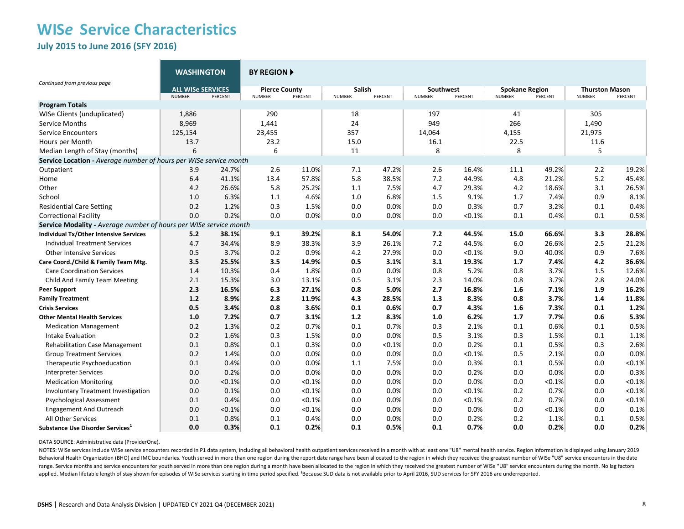**July 2015 to June 2016 (SFY 2016)** 

|                                                                   | <b>WASHINGTON</b>        |         | <b>BY REGION A</b>   |         |               |         |                  |         |                       |         |                       |         |
|-------------------------------------------------------------------|--------------------------|---------|----------------------|---------|---------------|---------|------------------|---------|-----------------------|---------|-----------------------|---------|
| Continued from previous page                                      | <b>ALL WISE SERVICES</b> |         | <b>Pierce County</b> |         | <b>Salish</b> |         | <b>Southwest</b> |         | <b>Spokane Region</b> |         | <b>Thurston Mason</b> |         |
|                                                                   | <b>NUMBER</b>            | PERCENT | <b>NUMBER</b>        | PERCENT | <b>NUMBER</b> | PERCENT | <b>NUMBER</b>    | PERCENT | <b>NUMBER</b>         | PERCENT | <b>NUMBER</b>         | PERCENT |
| <b>Program Totals</b>                                             |                          |         |                      |         |               |         |                  |         |                       |         |                       |         |
| WISe Clients (unduplicated)                                       | 1,886                    |         | 290                  |         | 18            |         | 197              |         | 41                    |         | 305                   |         |
| <b>Service Months</b>                                             | 8,969                    |         | 1,441                |         | 24            |         | 949              |         | 266                   |         | 1,490                 |         |
| <b>Service Encounters</b>                                         | 125,154                  |         | 23,455               |         | 357           |         | 14,064           |         | 4,155                 |         | 21,975                |         |
| Hours per Month                                                   | 13.7                     |         | 23.2                 |         | 15.0          |         | 16.1             |         | 22.5                  |         | 11.6                  |         |
| Median Length of Stay (months)                                    | 6                        |         | 6                    |         | 11            |         | 8                |         | 8                     |         | 5                     |         |
| Service Location - Average number of hours per WISe service month |                          |         |                      |         |               |         |                  |         |                       |         |                       |         |
| Outpatient                                                        | 3.9                      | 24.7%   | 2.6                  | 11.0%   | 7.1           | 47.2%   | 2.6              | 16.4%   | 11.1                  | 49.2%   | 2.2                   | 19.2%   |
| Home                                                              | 6.4                      | 41.1%   | 13.4                 | 57.8%   | 5.8           | 38.5%   | 7.2              | 44.9%   | 4.8                   | 21.2%   | 5.2                   | 45.4%   |
| Other                                                             | 4.2                      | 26.6%   | 5.8                  | 25.2%   | 1.1           | 7.5%    | 4.7              | 29.3%   | 4.2                   | 18.6%   | 3.1                   | 26.5%   |
| School                                                            | 1.0                      | 6.3%    | 1.1                  | 4.6%    | 1.0           | 6.8%    | 1.5              | 9.1%    | 1.7                   | 7.4%    | 0.9                   | 8.1%    |
| <b>Residential Care Setting</b>                                   | 0.2                      | 1.2%    | 0.3                  | 1.5%    | 0.0           | 0.0%    | 0.0              | 0.3%    | 0.7                   | 3.2%    | 0.1                   | 0.4%    |
| <b>Correctional Facility</b>                                      | 0.0                      | 0.2%    | 0.0                  | 0.0%    | 0.0           | 0.0%    | 0.0              | < 0.1%  | 0.1                   | 0.4%    | 0.1                   | 0.5%    |
| Service Modality - Average number of hours per WISe service month |                          |         |                      |         |               |         |                  |         |                       |         |                       |         |
| Individual Tx/Other Intensive Services                            | 5.2                      | 38.1%   | 9.1                  | 39.2%   | 8.1           | 54.0%   | 7.2              | 44.5%   | 15.0                  | 66.6%   | 3.3                   | 28.8%   |
| <b>Individual Treatment Services</b>                              | 4.7                      | 34.4%   | 8.9                  | 38.3%   | 3.9           | 26.1%   | 7.2              | 44.5%   | 6.0                   | 26.6%   | 2.5                   | 21.2%   |
| <b>Other Intensive Services</b>                                   | 0.5                      | 3.7%    | 0.2                  | 0.9%    | 4.2           | 27.9%   | 0.0              | < 0.1%  | 9.0                   | 40.0%   | 0.9                   | 7.6%    |
| Care Coord./Child & Family Team Mtg.                              | 3.5                      | 25.5%   | 3.5                  | 14.9%   | 0.5           | 3.1%    | 3.1              | 19.3%   | 1.7                   | 7.4%    | 4.2                   | 36.6%   |
| <b>Care Coordination Services</b>                                 | 1.4                      | 10.3%   | 0.4                  | 1.8%    | 0.0           | 0.0%    | 0.8              | 5.2%    | 0.8                   | 3.7%    | 1.5                   | 12.6%   |
| Child And Family Team Meeting                                     | 2.1                      | 15.3%   | 3.0                  | 13.1%   | 0.5           | 3.1%    | 2.3              | 14.0%   | 0.8                   | 3.7%    | 2.8                   | 24.0%   |
| <b>Peer Support</b>                                               | 2.3                      | 16.5%   | 6.3                  | 27.1%   | 0.8           | 5.0%    | 2.7              | 16.8%   | 1.6                   | 7.1%    | 1.9                   | 16.2%   |
| <b>Family Treatment</b>                                           | 1.2                      | 8.9%    | 2.8                  | 11.9%   | 4.3           | 28.5%   | 1.3              | 8.3%    | 0.8                   | 3.7%    | 1.4                   | 11.8%   |
| <b>Crisis Services</b>                                            | 0.5                      | 3.4%    | 0.8                  | 3.6%    | 0.1           | 0.6%    | 0.7              | 4.3%    | 1.6                   | 7.3%    | 0.1                   | 1.2%    |
| <b>Other Mental Health Services</b>                               | 1.0                      | 7.2%    | 0.7                  | 3.1%    | 1.2           | 8.3%    | 1.0              | 6.2%    | 1.7                   | 7.7%    | 0.6                   | 5.3%    |
| <b>Medication Management</b>                                      | 0.2                      | 1.3%    | 0.2                  | 0.7%    | 0.1           | 0.7%    | 0.3              | 2.1%    | 0.1                   | 0.6%    | 0.1                   | 0.5%    |
| Intake Evaluation                                                 | 0.2                      | 1.6%    | 0.3                  | 1.5%    | 0.0           | 0.0%    | 0.5              | 3.1%    | 0.3                   | 1.5%    | 0.1                   | 1.1%    |
| <b>Rehabilitation Case Management</b>                             | 0.1                      | 0.8%    | 0.1                  | 0.3%    | 0.0           | < 0.1%  | 0.0              | 0.2%    | 0.1                   | 0.5%    | 0.3                   | 2.6%    |
| <b>Group Treatment Services</b>                                   | 0.2                      | 1.4%    | 0.0                  | 0.0%    | 0.0           | 0.0%    | 0.0              | < 0.1%  | 0.5                   | 2.1%    | 0.0                   | 0.0%    |
| Therapeutic Psychoeducation                                       | 0.1                      | 0.4%    | 0.0                  | 0.0%    | 1.1           | 7.5%    | 0.0              | 0.3%    | 0.1                   | 0.5%    | 0.0                   | < 0.1%  |
| <b>Interpreter Services</b>                                       | 0.0                      | 0.2%    | 0.0                  | 0.0%    | 0.0           | 0.0%    | 0.0              | 0.2%    | 0.0                   | 0.0%    | 0.0                   | 0.3%    |
| <b>Medication Monitoring</b>                                      | 0.0                      | < 0.1%  | 0.0                  | < 0.1%  | 0.0           | 0.0%    | 0.0              | 0.0%    | 0.0                   | < 0.1%  | 0.0                   | < 0.1%  |
| Involuntary Treatment Investigation                               | 0.0                      | 0.1%    | 0.0                  | < 0.1%  | 0.0           | 0.0%    | 0.0              | < 0.1%  | 0.2                   | 0.7%    | 0.0                   | < 0.1%  |
| Psychological Assessment                                          | 0.1                      | 0.4%    | 0.0                  | < 0.1%  | 0.0           | 0.0%    | 0.0              | < 0.1%  | 0.2                   | 0.7%    | 0.0                   | < 0.1%  |
| <b>Engagement And Outreach</b>                                    | 0.0                      | < 0.1%  | 0.0                  | < 0.1%  | 0.0           | 0.0%    | 0.0              | 0.0%    | 0.0                   | < 0.1%  | 0.0                   | 0.1%    |
| All Other Services                                                | 0.1                      | 0.8%    | 0.1                  | 0.4%    | 0.0           | 0.0%    | 0.0              | 0.2%    | 0.2                   | 1.1%    | 0.1                   | 0.5%    |
| Substance Use Disorder Services <sup>1</sup>                      | 0.0                      | 0.3%    | 0.1                  | 0.2%    | 0.1           | 0.5%    | 0.1              | 0.7%    | 0.0                   | 0.2%    | 0.0                   | 0.2%    |

DATA SOURCE: Administrative data (ProviderOne).

NOTES: WISe services include WISe service encounters recorded in P1 data system, including all behavioral health outpatient services received in a month with at least one "U8" mental health service. Region information is d Behavioral Health Organization (BHO) and IMC boundaries. Youth served in more than one region during the report date range have been allocated to the region in which they received the greatest number of WISe "U8" service e range. Service months and service encounters for youth served in more than one region during a month have been allocated to the region in which they received the greatest number of WISe "U8" service encounters during the m applied. Median lifetable length of stay shown for episodes of WISe services starting in time period specified. 'Because SUD data is not available prior to April 2016, SUD services for SFY 2016 are underreported.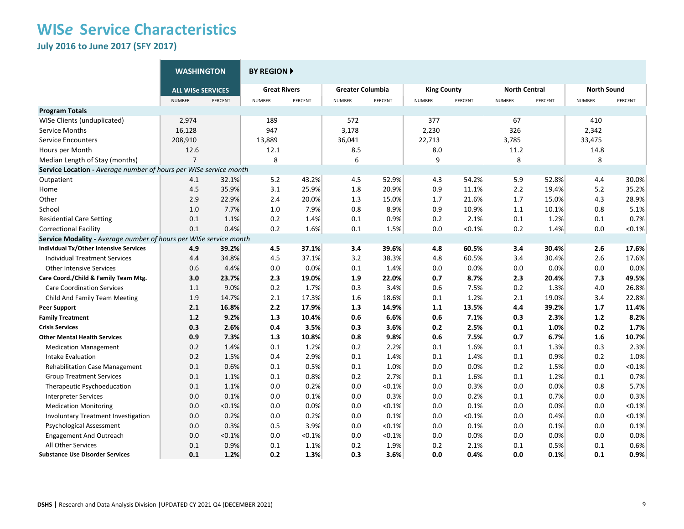**July 2016 to June 2017 (SFY 2017)** 

|                                                                   | <b>WASHINGTON</b>        |         | <b>BY REGION F</b>  |         |                         |         |                    |         |                      |         |                    |         |
|-------------------------------------------------------------------|--------------------------|---------|---------------------|---------|-------------------------|---------|--------------------|---------|----------------------|---------|--------------------|---------|
|                                                                   | <b>ALL WISe SERVICES</b> |         | <b>Great Rivers</b> |         | <b>Greater Columbia</b> |         | <b>King County</b> |         | <b>North Central</b> |         | <b>North Sound</b> |         |
|                                                                   | <b>NUMBER</b>            | PERCENT | <b>NUMBER</b>       | PERCENT | <b>NUMBER</b>           | PERCENT | <b>NUMBER</b>      | PERCENT | <b>NUMBER</b>        | PERCENT | <b>NUMBER</b>      | PERCENT |
| <b>Program Totals</b>                                             |                          |         |                     |         |                         |         |                    |         |                      |         |                    |         |
| WISe Clients (unduplicated)                                       | 2,974                    |         | 189                 |         | 572                     |         | 377                |         | 67                   |         | 410                |         |
| Service Months                                                    | 16,128                   |         | 947                 |         | 3,178                   |         | 2,230              |         | 326                  |         | 2,342              |         |
| <b>Service Encounters</b>                                         | 208,910                  |         | 13,889              |         | 36,041                  |         | 22,713             |         | 3,785                |         | 33,475             |         |
| Hours per Month                                                   | 12.6                     |         | 12.1                |         | 8.5                     |         | 8.0                |         | 11.2                 |         | 14.8               |         |
| Median Length of Stay (months)                                    | $\overline{7}$           |         | 8                   |         | 6                       |         | 9                  |         | 8                    |         | 8                  |         |
| Service Location - Average number of hours per WISe service month |                          |         |                     |         |                         |         |                    |         |                      |         |                    |         |
| Outpatient                                                        | 4.1                      | 32.1%   | 5.2                 | 43.2%   | 4.5                     | 52.9%   | 4.3                | 54.2%   | 5.9                  | 52.8%   | 4.4                | 30.0%   |
| Home                                                              | 4.5                      | 35.9%   | 3.1                 | 25.9%   | 1.8                     | 20.9%   | 0.9                | 11.1%   | 2.2                  | 19.4%   | 5.2                | 35.2%   |
| Other                                                             | 2.9                      | 22.9%   | 2.4                 | 20.0%   | 1.3                     | 15.0%   | 1.7                | 21.6%   | 1.7                  | 15.0%   | 4.3                | 28.9%   |
| School                                                            | 1.0                      | 7.7%    | 1.0                 | 7.9%    | 0.8                     | 8.9%    | 0.9                | 10.9%   | $1.1\,$              | 10.1%   | 0.8                | 5.1%    |
| <b>Residential Care Setting</b>                                   | 0.1                      | 1.1%    | 0.2                 | 1.4%    | 0.1                     | 0.9%    | 0.2                | 2.1%    | 0.1                  | 1.2%    | 0.1                | 0.7%    |
| <b>Correctional Facility</b>                                      | 0.1                      | 0.4%    | 0.2                 | 1.6%    | 0.1                     | 1.5%    | 0.0                | < 0.1%  | 0.2                  | 1.4%    | 0.0                | < 0.1%  |
| Service Modality - Average number of hours per WISe service month |                          |         |                     |         |                         |         |                    |         |                      |         |                    |         |
| <b>Individual Tx/Other Intensive Services</b>                     | 4.9                      | 39.2%   | 4.5                 | 37.1%   | 3.4                     | 39.6%   | 4.8                | 60.5%   | 3.4                  | 30.4%   | 2.6                | 17.6%   |
| <b>Individual Treatment Services</b>                              | 4.4                      | 34.8%   | 4.5                 | 37.1%   | 3.2                     | 38.3%   | 4.8                | 60.5%   | 3.4                  | 30.4%   | 2.6                | 17.6%   |
| <b>Other Intensive Services</b>                                   | 0.6                      | 4.4%    | 0.0                 | 0.0%    | 0.1                     | 1.4%    | 0.0                | 0.0%    | 0.0                  | 0.0%    | 0.0                | 0.0%    |
| Care Coord./Child & Family Team Mtg.                              | 3.0                      | 23.7%   | 2.3                 | 19.0%   | 1.9                     | 22.0%   | 0.7                | 8.7%    | 2.3                  | 20.4%   | 7.3                | 49.5%   |
| <b>Care Coordination Services</b>                                 | 1.1                      | 9.0%    | 0.2                 | 1.7%    | 0.3                     | 3.4%    | 0.6                | 7.5%    | 0.2                  | 1.3%    | 4.0                | 26.8%   |
| Child And Family Team Meeting                                     | 1.9                      | 14.7%   | 2.1                 | 17.3%   | 1.6                     | 18.6%   | 0.1                | 1.2%    | 2.1                  | 19.0%   | 3.4                | 22.8%   |
| <b>Peer Support</b>                                               | 2.1                      | 16.8%   | 2.2                 | 17.9%   | 1.3                     | 14.9%   | 1.1                | 13.5%   | 4.4                  | 39.2%   | 1.7                | 11.4%   |
| <b>Family Treatment</b>                                           | 1.2                      | 9.2%    | 1.3                 | 10.4%   | 0.6                     | 6.6%    | 0.6                | 7.1%    | 0.3                  | 2.3%    | 1.2                | 8.2%    |
| <b>Crisis Services</b>                                            | 0.3                      | 2.6%    | 0.4                 | 3.5%    | 0.3                     | 3.6%    | 0.2                | 2.5%    | 0.1                  | 1.0%    | 0.2                | 1.7%    |
| <b>Other Mental Health Services</b>                               | 0.9                      | 7.3%    | 1.3                 | 10.8%   | 0.8                     | 9.8%    | 0.6                | 7.5%    | 0.7                  | 6.7%    | 1.6                | 10.7%   |
| <b>Medication Management</b>                                      | 0.2                      | 1.4%    | 0.1                 | 1.2%    | 0.2                     | 2.2%    | 0.1                | 1.6%    | 0.1                  | 1.3%    | 0.3                | 2.3%    |
| Intake Evaluation                                                 | 0.2                      | 1.5%    | 0.4                 | 2.9%    | 0.1                     | 1.4%    | 0.1                | 1.4%    | $0.1\,$              | 0.9%    | 0.2                | 1.0%    |
| <b>Rehabilitation Case Management</b>                             | 0.1                      | 0.6%    | 0.1                 | 0.5%    | 0.1                     | 1.0%    | 0.0                | 0.0%    | 0.2                  | 1.5%    | 0.0                | < 0.1%  |
| <b>Group Treatment Services</b>                                   | 0.1                      | 1.1%    | 0.1                 | 0.8%    | 0.2                     | 2.7%    | 0.1                | 1.6%    | 0.1                  | 1.2%    | 0.1                | 0.7%    |
| Therapeutic Psychoeducation                                       | 0.1                      | 1.1%    | 0.0                 | 0.2%    | 0.0                     | < 0.1%  | 0.0                | 0.3%    | 0.0                  | 0.0%    | 0.8                | 5.7%    |
| <b>Interpreter Services</b>                                       | 0.0                      | 0.1%    | 0.0                 | 0.1%    | 0.0                     | 0.3%    | 0.0                | 0.2%    | 0.1                  | 0.7%    | 0.0                | 0.3%    |
| <b>Medication Monitoring</b>                                      | 0.0                      | < 0.1%  | 0.0                 | 0.0%    | 0.0                     | < 0.1%  | 0.0                | 0.1%    | 0.0                  | 0.0%    | 0.0                | < 0.1%  |
| <b>Involuntary Treatment Investigation</b>                        | 0.0                      | 0.2%    | 0.0                 | 0.2%    | 0.0                     | 0.1%    | 0.0                | < 0.1%  | 0.0                  | 0.4%    | 0.0                | < 0.1%  |
| Psychological Assessment                                          | 0.0                      | 0.3%    | 0.5                 | 3.9%    | 0.0                     | < 0.1%  | 0.0                | 0.1%    | 0.0                  | 0.1%    | 0.0                | 0.1%    |
| <b>Engagement And Outreach</b>                                    | 0.0                      | < 0.1%  | 0.0                 | < 0.1%  | 0.0                     | < 0.1%  | 0.0                | 0.0%    | 0.0                  | 0.0%    | 0.0                | 0.0%    |
| All Other Services                                                | 0.1                      | 0.9%    | 0.1                 | 1.1%    | 0.2                     | 1.9%    | 0.2                | 2.1%    | 0.1                  | 0.5%    | 0.1                | 0.6%    |
| <b>Substance Use Disorder Services</b>                            | 0.1                      | 1.2%    | 0.2                 | 1.3%    | 0.3                     | 3.6%    | 0.0                | 0.4%    | 0.0                  | 0.1%    | 0.1                | 0.9%    |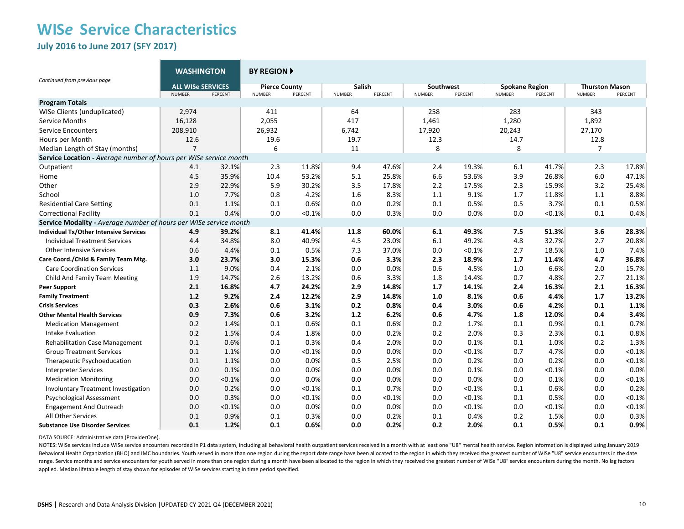### **WIS***e* **Service Characteristics July 2016 to June 2017 (SFY 2017)**

|                                                                   | <b>WASHINGTON</b>                         |         | <b>BY REGION A</b>                    |         |                         |         |                            |         |                                        |           |                                        |         |
|-------------------------------------------------------------------|-------------------------------------------|---------|---------------------------------------|---------|-------------------------|---------|----------------------------|---------|----------------------------------------|-----------|----------------------------------------|---------|
| Continued from previous page                                      | <b>ALL WISE SERVICES</b><br><b>NUMBER</b> | PERCENT | <b>Pierce County</b><br><b>NUMBER</b> | PERCENT | Salish<br><b>NUMBER</b> | PERCENT | Southwest<br><b>NUMBER</b> | PERCENT | <b>Spokane Region</b><br><b>NUMBER</b> | PERCENT   | <b>Thurston Mason</b><br><b>NUMBER</b> | PERCENT |
| <b>Program Totals</b>                                             |                                           |         |                                       |         |                         |         |                            |         |                                        |           |                                        |         |
| WISe Clients (unduplicated)                                       | 2,974                                     |         | 411                                   |         | 64                      |         | 258                        |         | 283                                    |           | 343                                    |         |
| Service Months                                                    | 16,128                                    |         | 2,055                                 |         | 417                     |         | 1,461                      |         | 1,280                                  |           | 1,892                                  |         |
| <b>Service Encounters</b>                                         | 208,910                                   |         | 26,932                                |         | 6,742                   |         | 17,920                     |         | 20,243                                 |           | 27,170                                 |         |
| Hours per Month                                                   | 12.6                                      |         | 19.6                                  |         | 19.7                    |         | 12.3                       |         | 14.7                                   |           | 12.8                                   |         |
| Median Length of Stay (months)                                    | $\overline{7}$                            |         | 6                                     |         | 11                      |         | 8                          |         | 8                                      |           | $\overline{7}$                         |         |
| Service Location - Average number of hours per WISe service month |                                           |         |                                       |         |                         |         |                            |         |                                        |           |                                        |         |
| Outpatient                                                        | 4.1                                       | 32.1%   | 2.3                                   | 11.8%   | 9.4                     | 47.6%   | 2.4                        | 19.3%   | 6.1                                    | 41.7%     | 2.3                                    | 17.8%   |
| Home                                                              | 4.5                                       | 35.9%   | 10.4                                  | 53.2%   | 5.1                     | 25.8%   | 6.6                        | 53.6%   | 3.9                                    | 26.8%     | 6.0                                    | 47.1%   |
| Other                                                             | 2.9                                       | 22.9%   | 5.9                                   | 30.2%   | 3.5                     | 17.8%   | 2.2                        | 17.5%   | 2.3                                    | 15.9%     | 3.2                                    | 25.4%   |
| School                                                            | 1.0                                       | 7.7%    | 0.8                                   | 4.2%    | 1.6                     | 8.3%    | 1.1                        | 9.1%    | 1.7                                    | 11.8%     | 1.1                                    | 8.8%    |
| <b>Residential Care Setting</b>                                   | 0.1                                       | 1.1%    | 0.1                                   | 0.6%    | 0.0                     | 0.2%    | 0.1                        | 0.5%    | 0.5                                    | 3.7%      | 0.1                                    | 0.5%    |
| <b>Correctional Facility</b>                                      | 0.1                                       | 0.4%    | 0.0                                   | < 0.1%  | 0.0                     | 0.3%    | 0.0                        | 0.0%    | 0.0                                    | $< 0.1\%$ | 0.1                                    | 0.4%    |
| Service Modality - Average number of hours per WISe service month |                                           |         |                                       |         |                         |         |                            |         |                                        |           |                                        |         |
| Individual Tx/Other Intensive Services                            | 4.9                                       | 39.2%   | 8.1                                   | 41.4%   | 11.8                    | 60.0%   | 6.1                        | 49.3%   | 7.5                                    | 51.3%     | 3.6                                    | 28.3%   |
| <b>Individual Treatment Services</b>                              | 4.4                                       | 34.8%   | 8.0                                   | 40.9%   | 4.5                     | 23.0%   | 6.1                        | 49.2%   | 4.8                                    | 32.7%     | 2.7                                    | 20.8%   |
| <b>Other Intensive Services</b>                                   | 0.6                                       | 4.4%    | 0.1                                   | 0.5%    | 7.3                     | 37.0%   | 0.0                        | < 0.1%  | 2.7                                    | 18.5%     | 1.0                                    | 7.4%    |
| Care Coord./Child & Family Team Mtg.                              | 3.0                                       | 23.7%   | 3.0                                   | 15.3%   | 0.6                     | 3.3%    | 2.3                        | 18.9%   | 1.7                                    | 11.4%     | 4.7                                    | 36.8%   |
| <b>Care Coordination Services</b>                                 | 1.1                                       | 9.0%    | 0.4                                   | 2.1%    | 0.0                     | 0.0%    | 0.6                        | 4.5%    | 1.0                                    | 6.6%      | 2.0                                    | 15.7%   |
| Child And Family Team Meeting                                     | 1.9                                       | 14.7%   | 2.6                                   | 13.2%   | 0.6                     | 3.3%    | 1.8                        | 14.4%   | 0.7                                    | 4.8%      | 2.7                                    | 21.1%   |
| <b>Peer Support</b>                                               | 2.1                                       | 16.8%   | 4.7                                   | 24.2%   | 2.9                     | 14.8%   | 1.7                        | 14.1%   | 2.4                                    | 16.3%     | 2.1                                    | 16.3%   |
| <b>Family Treatment</b>                                           | 1.2                                       | 9.2%    | 2.4                                   | 12.2%   | 2.9                     | 14.8%   | 1.0                        | 8.1%    | 0.6                                    | 4.4%      | 1.7                                    | 13.2%   |
| <b>Crisis Services</b>                                            | 0.3                                       | 2.6%    | 0.6                                   | 3.1%    | 0.2                     | 0.8%    | 0.4                        | 3.0%    | 0.6                                    | 4.2%      | 0.1                                    | 1.1%    |
| <b>Other Mental Health Services</b>                               | 0.9                                       | 7.3%    | 0.6                                   | 3.2%    | 1.2                     | 6.2%    | 0.6                        | 4.7%    | 1.8                                    | 12.0%     | 0.4                                    | 3.4%    |
| <b>Medication Management</b>                                      | 0.2                                       | 1.4%    | 0.1                                   | 0.6%    | 0.1                     | 0.6%    | 0.2                        | 1.7%    | 0.1                                    | 0.9%      | 0.1                                    | 0.7%    |
| Intake Evaluation                                                 | 0.2                                       | 1.5%    | 0.4                                   | 1.8%    | 0.0                     | 0.2%    | 0.2                        | 2.0%    | 0.3                                    | 2.3%      | 0.1                                    | 0.8%    |
| <b>Rehabilitation Case Management</b>                             | 0.1                                       | 0.6%    | 0.1                                   | 0.3%    | 0.4                     | 2.0%    | 0.0                        | 0.1%    | 0.1                                    | 1.0%      | 0.2                                    | 1.3%    |
| <b>Group Treatment Services</b>                                   | 0.1                                       | 1.1%    | 0.0                                   | < 0.1%  | 0.0                     | 0.0%    | 0.0                        | < 0.1%  | 0.7                                    | 4.7%      | 0.0                                    | < 0.1%  |
| Therapeutic Psychoeducation                                       | 0.1                                       | 1.1%    | 0.0                                   | 0.0%    | 0.5                     | 2.5%    | 0.0                        | 0.2%    | 0.0                                    | 0.2%      | 0.0                                    | < 0.1%  |
| <b>Interpreter Services</b>                                       | 0.0                                       | 0.1%    | 0.0                                   | 0.0%    | 0.0                     | 0.0%    | 0.0                        | 0.1%    | 0.0                                    | < 0.1%    | 0.0                                    | 0.0%    |
| <b>Medication Monitoring</b>                                      | 0.0                                       | < 0.1%  | 0.0                                   | 0.0%    | 0.0                     | 0.0%    | 0.0                        | 0.0%    | 0.0                                    | 0.1%      | 0.0                                    | < 0.1%  |
| <b>Involuntary Treatment Investigation</b>                        | 0.0                                       | 0.2%    | 0.0                                   | < 0.1%  | 0.1                     | 0.7%    | 0.0                        | < 0.1%  | 0.1                                    | 0.6%      | 0.0                                    | 0.2%    |
| Psychological Assessment                                          | 0.0                                       | 0.3%    | 0.0                                   | < 0.1%  | 0.0                     | < 0.1%  | 0.0                        | < 0.1%  | 0.1                                    | 0.5%      | 0.0                                    | < 0.1%  |
| <b>Engagement And Outreach</b>                                    | 0.0                                       | < 0.1%  | 0.0                                   | 0.0%    | 0.0                     | 0.0%    | 0.0                        | < 0.1%  | 0.0                                    | < 0.1%    | 0.0                                    | < 0.1%  |
| All Other Services                                                | 0.1                                       | 0.9%    | 0.1                                   | 0.3%    | 0.0                     | 0.2%    | 0.1                        | 0.4%    | 0.2                                    | 1.5%      | 0.0                                    | 0.3%    |
| <b>Substance Use Disorder Services</b>                            | 0.1                                       | 1.2%    | 0.1                                   | 0.6%    | 0.0                     | 0.2%    | 0.2                        | 2.0%    | 0.1                                    | 0.5%      | 0.1                                    | 0.9%    |

DATA SOURCE: Administrative data (ProviderOne).

NOTES: WISe services include WISe service encounters recorded in P1 data system, including all behavioral health outpatient services received in a month with at least one "U8" mental health service. Region information is d Behavioral Health Organization (BHO) and IMC boundaries. Youth served in more than one region during the report date range have been allocated to the region in which they received the greatest number of WISe "U8" service e range. Service months and service encounters for youth served in more than one region during a month have been allocated to the region in which they received the greatest number of WISe "U8" service encounters during the m applied. Median lifetable length of stay shown for episodes of WISe services starting in time period specified.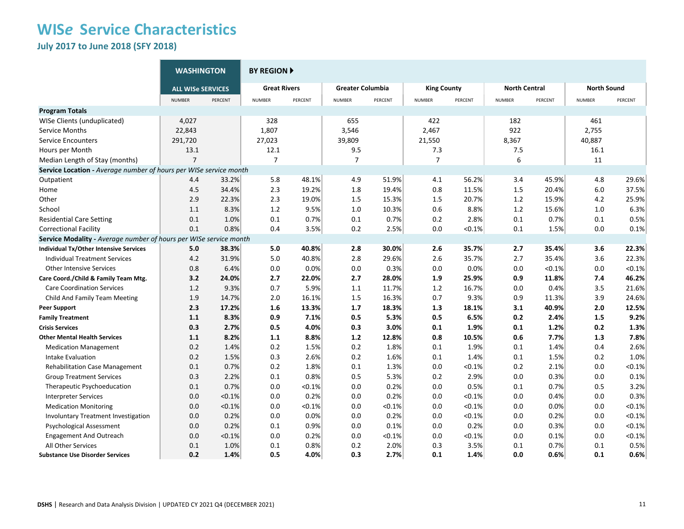**July 2017 to June 2018 (SFY 2018)**

|                                                                   | <b>WASHINGTON</b>        |         | <b>BY REGION ▶</b>  |           |                         |         |                    |           |                      |         |                    |           |
|-------------------------------------------------------------------|--------------------------|---------|---------------------|-----------|-------------------------|---------|--------------------|-----------|----------------------|---------|--------------------|-----------|
|                                                                   | <b>ALL WISe SERVICES</b> |         | <b>Great Rivers</b> |           | <b>Greater Columbia</b> |         | <b>King County</b> |           | <b>North Central</b> |         | <b>North Sound</b> |           |
|                                                                   | <b>NUMBER</b>            | PERCENT | <b>NUMBER</b>       | PERCENT   | <b>NUMBER</b>           | PERCENT | <b>NUMBER</b>      | PERCENT   | <b>NUMBER</b>        | PERCENT | <b>NUMBER</b>      | PERCENT   |
| <b>Program Totals</b>                                             |                          |         |                     |           |                         |         |                    |           |                      |         |                    |           |
| WISe Clients (unduplicated)                                       | 4,027                    |         | 328                 |           | 655                     |         | 422                |           | 182                  |         | 461                |           |
| Service Months                                                    | 22,843                   |         | 1,807               |           | 3,546                   |         | 2,467              |           | 922                  |         | 2,755              |           |
| <b>Service Encounters</b>                                         | 291,720                  |         | 27,023              |           | 39,809                  |         | 21,550             |           | 8,367                |         | 40,887             |           |
| Hours per Month                                                   | 13.1                     |         | 12.1                |           | 9.5                     |         | 7.3                |           | 7.5                  |         | 16.1               |           |
| Median Length of Stay (months)                                    | $\overline{7}$           |         | $\overline{7}$      |           | $\overline{7}$          |         | $\overline{7}$     |           | 6                    |         | 11                 |           |
| Service Location - Average number of hours per WISe service month |                          |         |                     |           |                         |         |                    |           |                      |         |                    |           |
| Outpatient                                                        | 4.4                      | 33.2%   | 5.8                 | 48.1%     | 4.9                     | 51.9%   | 4.1                | 56.2%     | 3.4                  | 45.9%   | 4.8                | 29.6%     |
| Home                                                              | 4.5                      | 34.4%   | 2.3                 | 19.2%     | 1.8                     | 19.4%   | 0.8                | 11.5%     | 1.5                  | 20.4%   | 6.0                | 37.5%     |
| Other                                                             | 2.9                      | 22.3%   | 2.3                 | 19.0%     | 1.5                     | 15.3%   | 1.5                | 20.7%     | 1.2                  | 15.9%   | 4.2                | 25.9%     |
| School                                                            | 1.1                      | 8.3%    | 1.2                 | 9.5%      | 1.0                     | 10.3%   | 0.6                | 8.8%      | 1.2                  | 15.6%   | 1.0                | 6.3%      |
| <b>Residential Care Setting</b>                                   | 0.1                      | 1.0%    | 0.1                 | 0.7%      | 0.1                     | 0.7%    | 0.2                | 2.8%      | 0.1                  | 0.7%    | 0.1                | 0.5%      |
| <b>Correctional Facility</b>                                      | 0.1                      | 0.8%    | 0.4                 | 3.5%      | 0.2                     | 2.5%    | 0.0                | $< 0.1\%$ | 0.1                  | 1.5%    | 0.0                | 0.1%      |
| Service Modality - Average number of hours per WISe service month |                          |         |                     |           |                         |         |                    |           |                      |         |                    |           |
| <b>Individual Tx/Other Intensive Services</b>                     | 5.0                      | 38.3%   | 5.0                 | 40.8%     | 2.8                     | 30.0%   | 2.6                | 35.7%     | 2.7                  | 35.4%   | 3.6                | 22.3%     |
| <b>Individual Treatment Services</b>                              | 4.2                      | 31.9%   | 5.0                 | 40.8%     | 2.8                     | 29.6%   | 2.6                | 35.7%     | 2.7                  | 35.4%   | 3.6                | 22.3%     |
| <b>Other Intensive Services</b>                                   | 0.8                      | 6.4%    | 0.0                 | 0.0%      | 0.0                     | 0.3%    | 0.0                | 0.0%      | 0.0                  | < 0.1%  | 0.0                | < 0.1%    |
| Care Coord./Child & Family Team Mtg.                              | 3.2                      | 24.0%   | 2.7                 | 22.0%     | 2.7                     | 28.0%   | 1.9                | 25.9%     | 0.9                  | 11.8%   | 7.4                | 46.2%     |
| <b>Care Coordination Services</b>                                 | 1.2                      | 9.3%    | 0.7                 | 5.9%      | 1.1                     | 11.7%   | 1.2                | 16.7%     | 0.0                  | 0.4%    | 3.5                | 21.6%     |
| Child And Family Team Meeting                                     | 1.9                      | 14.7%   | 2.0                 | 16.1%     | 1.5                     | 16.3%   | 0.7                | 9.3%      | 0.9                  | 11.3%   | 3.9                | 24.6%     |
| <b>Peer Support</b>                                               | 2.3                      | 17.2%   | 1.6                 | 13.3%     | 1.7                     | 18.3%   | 1.3                | 18.1%     | 3.1                  | 40.9%   | 2.0                | 12.5%     |
| <b>Family Treatment</b>                                           | 1.1                      | 8.3%    | 0.9                 | 7.1%      | 0.5                     | 5.3%    | 0.5                | 6.5%      | 0.2                  | 2.4%    | 1.5                | 9.2%      |
| <b>Crisis Services</b>                                            | 0.3                      | 2.7%    | 0.5                 | 4.0%      | 0.3                     | 3.0%    | 0.1                | 1.9%      | 0.1                  | 1.2%    | 0.2                | 1.3%      |
| <b>Other Mental Health Services</b>                               | 1.1                      | 8.2%    | 1.1                 | 8.8%      | 1.2                     | 12.8%   | 0.8                | 10.5%     | 0.6                  | 7.7%    | 1.3                | 7.8%      |
| <b>Medication Management</b>                                      | 0.2                      | 1.4%    | 0.2                 | 1.5%      | 0.2                     | 1.8%    | 0.1                | 1.9%      | 0.1                  | 1.4%    | 0.4                | 2.6%      |
| Intake Evaluation                                                 | 0.2                      | 1.5%    | 0.3                 | 2.6%      | 0.2                     | 1.6%    | 0.1                | 1.4%      | 0.1                  | 1.5%    | 0.2                | 1.0%      |
| <b>Rehabilitation Case Management</b>                             | 0.1                      | 0.7%    | 0.2                 | 1.8%      | 0.1                     | 1.3%    | 0.0                | < 0.1%    | 0.2                  | 2.1%    | 0.0                | < 0.1%    |
| <b>Group Treatment Services</b>                                   | 0.3                      | 2.2%    | 0.1                 | 0.8%      | 0.5                     | 5.3%    | 0.2                | 2.9%      | 0.0                  | 0.3%    | 0.0                | 0.1%      |
| Therapeutic Psychoeducation                                       | 0.1                      | 0.7%    | 0.0                 | $< 0.1\%$ | 0.0                     | 0.2%    | 0.0                | 0.5%      | 0.1                  | 0.7%    | 0.5                | 3.2%      |
| <b>Interpreter Services</b>                                       | 0.0                      | < 0.1%  | 0.0                 | 0.2%      | 0.0                     | 0.2%    | 0.0                | < 0.1%    | 0.0                  | 0.4%    | 0.0                | 0.3%      |
| <b>Medication Monitoring</b>                                      | 0.0                      | < 0.1%  | 0.0                 | < 0.1%    | 0.0                     | < 0.1%  | 0.0                | < 0.1%    | 0.0                  | 0.0%    | 0.0                | < 0.1%    |
| <b>Involuntary Treatment Investigation</b>                        | 0.0                      | 0.2%    | 0.0                 | 0.0%      | 0.0                     | 0.2%    | 0.0                | < 0.1%    | 0.0                  | 0.2%    | 0.0                | < 0.1%    |
| <b>Psychological Assessment</b>                                   | 0.0                      | 0.2%    | 0.1                 | 0.9%      | 0.0                     | 0.1%    | 0.0                | 0.2%      | 0.0                  | 0.3%    | 0.0                | < 0.1%    |
| <b>Engagement And Outreach</b>                                    | 0.0                      | < 0.1%  | 0.0                 | 0.2%      | 0.0                     | < 0.1%  | 0.0                | < 0.1%    | 0.0                  | 0.1%    | 0.0                | $< 0.1\%$ |
| All Other Services                                                | 0.1                      | 1.0%    | 0.1                 | 0.8%      | 0.2                     | 2.0%    | 0.3                | 3.5%      | 0.1                  | 0.7%    | 0.1                | 0.5%      |
| <b>Substance Use Disorder Services</b>                            | 0.2                      | 1.4%    | 0.5                 | 4.0%      | 0.3                     | 2.7%    | 0.1                | 1.4%      | 0.0                  | 0.6%    | 0.1                | 0.6%      |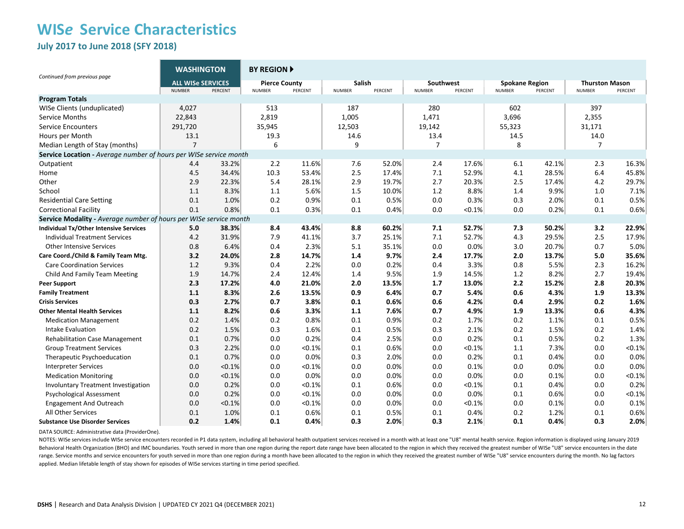### **WIS***e* **Service Characteristics July 2017 to June 2018 (SFY 2018)**

| Continued from previous page                                      | <b>WASHINGTON</b>                         |         | <b>BY REGION A</b>                    |           |                                |         |                            |         |                                        |         |                                        |         |
|-------------------------------------------------------------------|-------------------------------------------|---------|---------------------------------------|-----------|--------------------------------|---------|----------------------------|---------|----------------------------------------|---------|----------------------------------------|---------|
|                                                                   | <b>ALL WISe SERVICES</b><br><b>NUMBER</b> | PERCENT | <b>Pierce County</b><br><b>NUMBER</b> | PERCENT   | <b>Salish</b><br><b>NUMBER</b> | PERCENT | Southwest<br><b>NUMBER</b> | PERCENT | <b>Spokane Region</b><br><b>NUMBER</b> | PERCENT | <b>Thurston Mason</b><br><b>NUMBER</b> | PERCENT |
| <b>Program Totals</b>                                             |                                           |         |                                       |           |                                |         |                            |         |                                        |         |                                        |         |
| WISe Clients (unduplicated)                                       | 4,027                                     |         | 513                                   |           | 187                            |         | 280                        |         | 602                                    |         | 397                                    |         |
| Service Months                                                    | 22,843                                    |         | 2,819                                 |           | 1,005                          |         | 1,471                      |         | 3,696                                  |         | 2,355                                  |         |
| <b>Service Encounters</b>                                         | 291,720                                   |         | 35,945                                |           | 12,503                         |         | 19,142                     |         | 55,323                                 |         | 31,171                                 |         |
| Hours per Month                                                   | 13.1                                      |         | 19.3                                  |           | 14.6                           |         | 13.4                       |         | 14.5                                   |         | 14.0                                   |         |
| Median Length of Stay (months)                                    | $\overline{7}$                            |         | 6                                     |           | 9                              |         | 7                          |         | 8                                      |         | 7                                      |         |
| Service Location - Average number of hours per WISe service month |                                           |         |                                       |           |                                |         |                            |         |                                        |         |                                        |         |
| Outpatient                                                        | 4.4                                       | 33.2%   | 2.2                                   | 11.6%     | 7.6                            | 52.0%   | 2.4                        | 17.6%   | 6.1                                    | 42.1%   | 2.3                                    | 16.3%   |
| Home                                                              | 4.5                                       | 34.4%   | 10.3                                  | 53.4%     | 2.5                            | 17.4%   | 7.1                        | 52.9%   | 4.1                                    | 28.5%   | 6.4                                    | 45.8%   |
| Other                                                             | 2.9                                       | 22.3%   | 5.4                                   | 28.1%     | 2.9                            | 19.7%   | 2.7                        | 20.3%   | 2.5                                    | 17.4%   | 4.2                                    | 29.7%   |
| School                                                            | 1.1                                       | 8.3%    | 1.1                                   | 5.6%      | 1.5                            | 10.0%   | 1.2                        | 8.8%    | 1.4                                    | 9.9%    | 1.0                                    | 7.1%    |
| <b>Residential Care Setting</b>                                   | 0.1                                       | 1.0%    | 0.2                                   | 0.9%      | 0.1                            | 0.5%    | 0.0                        | 0.3%    | 0.3                                    | 2.0%    | 0.1                                    | 0.5%    |
| <b>Correctional Facility</b>                                      | 0.1                                       | 0.8%    | 0.1                                   | 0.3%      | 0.1                            | 0.4%    | 0.0                        | < 0.1%  | 0.0                                    | 0.2%    | 0.1                                    | 0.6%    |
| Service Modality - Average number of hours per WISe service month |                                           |         |                                       |           |                                |         |                            |         |                                        |         |                                        |         |
| Individual Tx/Other Intensive Services                            | 5.0                                       | 38.3%   | 8.4                                   | 43.4%     | 8.8                            | 60.2%   | 7.1                        | 52.7%   | 7.3                                    | 50.2%   | 3.2                                    | 22.9%   |
| <b>Individual Treatment Services</b>                              | 4.2                                       | 31.9%   | 7.9                                   | 41.1%     | 3.7                            | 25.1%   | 7.1                        | 52.7%   | 4.3                                    | 29.5%   | 2.5                                    | 17.9%   |
| <b>Other Intensive Services</b>                                   | 0.8                                       | 6.4%    | 0.4                                   | 2.3%      | 5.1                            | 35.1%   | 0.0                        | 0.0%    | 3.0                                    | 20.7%   | 0.7                                    | 5.0%    |
| Care Coord./Child & Family Team Mtg.                              | 3.2                                       | 24.0%   | 2.8                                   | 14.7%     | 1.4                            | 9.7%    | 2.4                        | 17.7%   | 2.0                                    | 13.7%   | 5.0                                    | 35.6%   |
| <b>Care Coordination Services</b>                                 | 1.2                                       | 9.3%    | 0.4                                   | 2.2%      | 0.0                            | 0.2%    | 0.4                        | 3.3%    | 0.8                                    | 5.5%    | 2.3                                    | 16.2%   |
| Child And Family Team Meeting                                     | 1.9                                       | 14.7%   | 2.4                                   | 12.4%     | 1.4                            | 9.5%    | 1.9                        | 14.5%   | 1.2                                    | 8.2%    | 2.7                                    | 19.4%   |
| <b>Peer Support</b>                                               | 2.3                                       | 17.2%   | 4.0                                   | 21.0%     | 2.0                            | 13.5%   | 1.7                        | 13.0%   | 2.2                                    | 15.2%   | 2.8                                    | 20.3%   |
| <b>Family Treatment</b>                                           | 1.1                                       | 8.3%    | 2.6                                   | 13.5%     | 0.9                            | 6.4%    | 0.7                        | 5.4%    | 0.6                                    | 4.3%    | 1.9                                    | 13.3%   |
| <b>Crisis Services</b>                                            | 0.3                                       | 2.7%    | 0.7                                   | 3.8%      | 0.1                            | 0.6%    | 0.6                        | 4.2%    | 0.4                                    | 2.9%    | 0.2                                    | 1.6%    |
| <b>Other Mental Health Services</b>                               | 1.1                                       | 8.2%    | 0.6                                   | 3.3%      | 1.1                            | 7.6%    | 0.7                        | 4.9%    | 1.9                                    | 13.3%   | 0.6                                    | 4.3%    |
| <b>Medication Management</b>                                      | 0.2                                       | 1.4%    | 0.2                                   | 0.8%      | 0.1                            | 0.9%    | 0.2                        | 1.7%    | 0.2                                    | 1.1%    | 0.1                                    | 0.5%    |
| Intake Evaluation                                                 | 0.2                                       | 1.5%    | 0.3                                   | 1.6%      | 0.1                            | 0.5%    | 0.3                        | 2.1%    | 0.2                                    | 1.5%    | 0.2                                    | 1.4%    |
| <b>Rehabilitation Case Management</b>                             | 0.1                                       | 0.7%    | 0.0                                   | 0.2%      | 0.4                            | 2.5%    | 0.0                        | 0.2%    | 0.1                                    | 0.5%    | 0.2                                    | 1.3%    |
| <b>Group Treatment Services</b>                                   | 0.3                                       | 2.2%    | 0.0                                   | < 0.1%    | 0.1                            | 0.6%    | 0.0                        | < 0.1%  | 1.1                                    | 7.3%    | 0.0                                    | < 0.1%  |
| Therapeutic Psychoeducation                                       | 0.1                                       | 0.7%    | 0.0                                   | 0.0%      | 0.3                            | 2.0%    | 0.0                        | 0.2%    | 0.1                                    | 0.4%    | 0.0                                    | 0.0%    |
| <b>Interpreter Services</b>                                       | 0.0                                       | < 0.1%  | 0.0                                   | < 0.1%    | 0.0                            | 0.0%    | 0.0                        | 0.1%    | 0.0                                    | 0.0%    | 0.0                                    | 0.0%    |
| <b>Medication Monitoring</b>                                      | 0.0                                       | < 0.1%  | 0.0                                   | 0.0%      | 0.0                            | 0.0%    | 0.0                        | 0.0%    | 0.0                                    | 0.1%    | 0.0                                    | < 0.1%  |
| Involuntary Treatment Investigation                               | 0.0                                       | 0.2%    | 0.0                                   | < 0.1%    | 0.1                            | 0.6%    | 0.0                        | <0.1%   | 0.1                                    | 0.4%    | 0.0                                    | 0.2%    |
| Psychological Assessment                                          | 0.0                                       | 0.2%    | 0.0                                   | < 0.1%    | 0.0                            | 0.0%    | 0.0                        | 0.0%    | 0.1                                    | 0.6%    | 0.0                                    | < 0.1%  |
| <b>Engagement And Outreach</b>                                    | 0.0                                       | < 0.1%  | 0.0                                   | $< 0.1\%$ | 0.0                            | 0.0%    | 0.0                        | < 0.1%  | 0.0                                    | 0.1%    | 0.0                                    | 0.1%    |
| All Other Services                                                | 0.1                                       | 1.0%    | 0.1                                   | 0.6%      | 0.1                            | 0.5%    | 0.1                        | 0.4%    | 0.2                                    | 1.2%    | 0.1                                    | 0.6%    |
| <b>Substance Use Disorder Services</b>                            | 0.2                                       | 1.4%    | 0.1                                   | 0.4%      | 0.3                            | 2.0%    | 0.3                        | 2.1%    | 0.1                                    | 0.4%    | 0.3                                    | 2.0%    |

DATA SOURCE: Administrative data (ProviderOne).

NOTES: WISe services include WISe service encounters recorded in P1 data system, including all behavioral health outpatient services received in a month with at least one "U8" mental health service. Region information is d Behavioral Health Organization (BHO) and IMC boundaries. Youth served in more than one region during the report date range have been allocated to the region in which they received the greatest number of WISe "U8" service e range. Service months and service encounters for youth served in more than one region during a month have been allocated to the region in which they received the greatest number of WISe "U8" service encounters during the m applied. Median lifetable length of stay shown for episodes of WISe services starting in time period specified.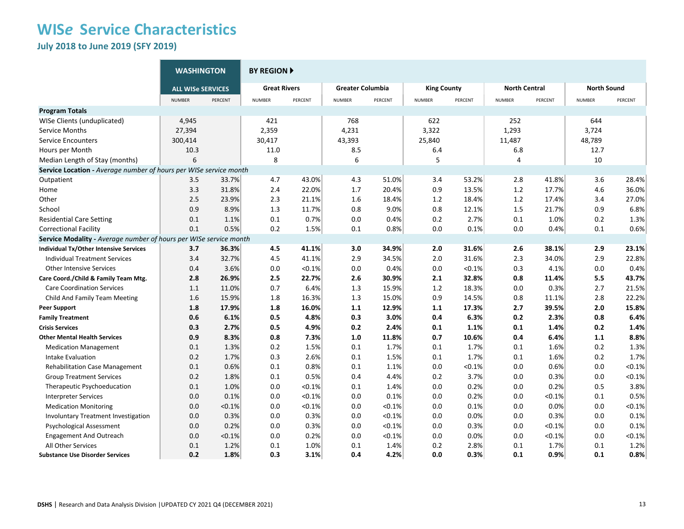**July 2018 to June 2019 (SFY 2019)**

|                                                                   | <b>WASHINGTON</b>        |         | <b>BY REGION F</b>  |         |                         |         |                    |         |                      |         |                    |         |
|-------------------------------------------------------------------|--------------------------|---------|---------------------|---------|-------------------------|---------|--------------------|---------|----------------------|---------|--------------------|---------|
|                                                                   | <b>ALL WISE SERVICES</b> |         | <b>Great Rivers</b> |         | <b>Greater Columbia</b> |         | <b>King County</b> |         | <b>North Central</b> |         | <b>North Sound</b> |         |
|                                                                   | <b>NUMBER</b>            | PERCENT | <b>NUMBER</b>       | PERCENT | <b>NUMBER</b>           | PERCENT | NUMBER             | PERCENT | <b>NUMBER</b>        | PERCENT | <b>NUMBER</b>      | PERCENT |
| <b>Program Totals</b>                                             |                          |         |                     |         |                         |         |                    |         |                      |         |                    |         |
| WISe Clients (unduplicated)                                       | 4,945                    |         | 421                 |         | 768                     |         | 622                |         | 252                  |         | 644                |         |
| Service Months                                                    | 27,394                   |         | 2,359               |         | 4,231                   |         | 3,322              |         | 1,293                |         | 3,724              |         |
| <b>Service Encounters</b>                                         | 300,414                  |         | 30,417              |         | 43,393                  |         | 25,840             |         | 11,487               |         | 48,789             |         |
| Hours per Month                                                   | 10.3                     |         | 11.0                |         | 8.5                     |         | 6.4                |         | 6.8                  |         | 12.7               |         |
| Median Length of Stay (months)                                    | 6                        |         | 8                   |         | 6                       |         | 5                  |         | 4                    |         | 10                 |         |
| Service Location - Average number of hours per WISe service month |                          |         |                     |         |                         |         |                    |         |                      |         |                    |         |
| Outpatient                                                        | 3.5                      | 33.7%   | 4.7                 | 43.0%   | 4.3                     | 51.0%   | 3.4                | 53.2%   | 2.8                  | 41.8%   | 3.6                | 28.4%   |
| Home                                                              | 3.3                      | 31.8%   | 2.4                 | 22.0%   | 1.7                     | 20.4%   | 0.9                | 13.5%   | $1.2\,$              | 17.7%   | 4.6                | 36.0%   |
| Other                                                             | 2.5                      | 23.9%   | 2.3                 | 21.1%   | 1.6                     | 18.4%   | 1.2                | 18.4%   | $1.2\,$              | 17.4%   | 3.4                | 27.0%   |
| School                                                            | 0.9                      | 8.9%    | 1.3                 | 11.7%   | 0.8                     | 9.0%    | 0.8                | 12.1%   | 1.5                  | 21.7%   | 0.9                | 6.8%    |
| <b>Residential Care Setting</b>                                   | 0.1                      | 1.1%    | 0.1                 | 0.7%    | 0.0                     | 0.4%    | 0.2                | 2.7%    | 0.1                  | 1.0%    | 0.2                | 1.3%    |
| <b>Correctional Facility</b>                                      | 0.1                      | 0.5%    | 0.2                 | 1.5%    | 0.1                     | 0.8%    | 0.0                | 0.1%    | 0.0                  | 0.4%    | 0.1                | 0.6%    |
| Service Modality - Average number of hours per WISe service month |                          |         |                     |         |                         |         |                    |         |                      |         |                    |         |
| <b>Individual Tx/Other Intensive Services</b>                     | 3.7                      | 36.3%   | 4.5                 | 41.1%   | 3.0                     | 34.9%   | 2.0                | 31.6%   | 2.6                  | 38.1%   | 2.9                | 23.1%   |
| <b>Individual Treatment Services</b>                              | 3.4                      | 32.7%   | 4.5                 | 41.1%   | 2.9                     | 34.5%   | 2.0                | 31.6%   | 2.3                  | 34.0%   | 2.9                | 22.8%   |
| <b>Other Intensive Services</b>                                   | 0.4                      | 3.6%    | 0.0                 | < 0.1%  | 0.0                     | 0.4%    | 0.0                | < 0.1%  | 0.3                  | 4.1%    | 0.0                | 0.4%    |
| Care Coord./Child & Family Team Mtg.                              | 2.8                      | 26.9%   | 2.5                 | 22.7%   | 2.6                     | 30.9%   | 2.1                | 32.8%   | 0.8                  | 11.4%   | 5.5                | 43.7%   |
| <b>Care Coordination Services</b>                                 | 1.1                      | 11.0%   | 0.7                 | 6.4%    | 1.3                     | 15.9%   | 1.2                | 18.3%   | 0.0                  | 0.3%    | 2.7                | 21.5%   |
| Child And Family Team Meeting                                     | 1.6                      | 15.9%   | 1.8                 | 16.3%   | 1.3                     | 15.0%   | 0.9                | 14.5%   | 0.8                  | 11.1%   | 2.8                | 22.2%   |
| <b>Peer Support</b>                                               | 1.8                      | 17.9%   | 1.8                 | 16.0%   | 1.1                     | 12.9%   | 1.1                | 17.3%   | 2.7                  | 39.5%   | 2.0                | 15.8%   |
| <b>Family Treatment</b>                                           | 0.6                      | 6.1%    | 0.5                 | 4.8%    | 0.3                     | 3.0%    | 0.4                | 6.3%    | 0.2                  | 2.3%    | 0.8                | 6.4%    |
| <b>Crisis Services</b>                                            | 0.3                      | 2.7%    | 0.5                 | 4.9%    | 0.2                     | 2.4%    | 0.1                | 1.1%    | 0.1                  | 1.4%    | 0.2                | 1.4%    |
| <b>Other Mental Health Services</b>                               | 0.9                      | 8.3%    | 0.8                 | 7.3%    | 1.0                     | 11.8%   | 0.7                | 10.6%   | 0.4                  | 6.4%    | 1.1                | 8.8%    |
| <b>Medication Management</b>                                      | 0.1                      | 1.3%    | 0.2                 | 1.5%    | 0.1                     | 1.7%    | 0.1                | 1.7%    | 0.1                  | 1.6%    | 0.2                | 1.3%    |
| Intake Evaluation                                                 | 0.2                      | 1.7%    | 0.3                 | 2.6%    | 0.1                     | 1.5%    | 0.1                | 1.7%    | 0.1                  | 1.6%    | 0.2                | 1.7%    |
| <b>Rehabilitation Case Management</b>                             | 0.1                      | 0.6%    | 0.1                 | 0.8%    | 0.1                     | 1.1%    | 0.0                | < 0.1%  | 0.0                  | 0.6%    | 0.0                | < 0.1%  |
| <b>Group Treatment Services</b>                                   | 0.2                      | 1.8%    | 0.1                 | 0.5%    | 0.4                     | 4.4%    | 0.2                | 3.7%    | 0.0                  | 0.3%    | 0.0                | < 0.1%  |
| Therapeutic Psychoeducation                                       | 0.1                      | 1.0%    | 0.0                 | < 0.1%  | 0.1                     | 1.4%    | 0.0                | 0.2%    | 0.0                  | 0.2%    | 0.5                | 3.8%    |
| <b>Interpreter Services</b>                                       | 0.0                      | 0.1%    | 0.0                 | < 0.1%  | 0.0                     | 0.1%    | 0.0                | 0.2%    | 0.0                  | < 0.1%  | 0.1                | 0.5%    |
| <b>Medication Monitoring</b>                                      | 0.0                      | < 0.1%  | 0.0                 | < 0.1%  | 0.0                     | < 0.1%  | 0.0                | 0.1%    | 0.0                  | 0.0%    | 0.0                | < 0.1%  |
| <b>Involuntary Treatment Investigation</b>                        | 0.0                      | 0.3%    | 0.0                 | 0.3%    | 0.0                     | < 0.1%  | 0.0                | 0.0%    | 0.0                  | 0.3%    | 0.0                | 0.1%    |
| <b>Psychological Assessment</b>                                   | 0.0                      | 0.2%    | 0.0                 | 0.3%    | 0.0                     | < 0.1%  | 0.0                | 0.3%    | 0.0                  | < 0.1%  | 0.0                | 0.1%    |
| <b>Engagement And Outreach</b>                                    | 0.0                      | < 0.1%  | 0.0                 | 0.2%    | 0.0                     | < 0.1%  | 0.0                | 0.0%    | 0.0                  | < 0.1%  | 0.0                | < 0.1%  |
| All Other Services                                                | 0.1                      | 1.2%    | 0.1                 | 1.0%    | 0.1                     | 1.4%    | 0.2                | 2.8%    | 0.1                  | 1.7%    | 0.1                | 1.2%    |
| <b>Substance Use Disorder Services</b>                            | 0.2                      | 1.8%    | 0.3                 | 3.1%    | 0.4                     | 4.2%    | 0.0                | 0.3%    | 0.1                  | 0.9%    | 0.1                | 0.8%    |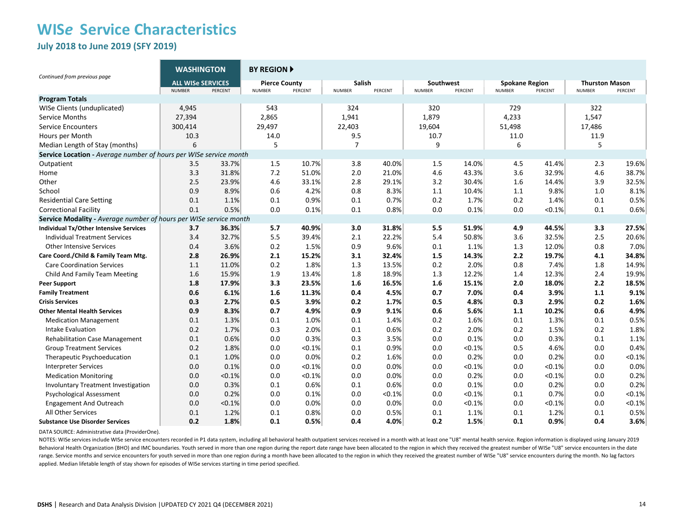**July 2018 to June 2019 (SFY 2019)**

| Continued from previous page                                      | <b>WASHINGTON</b>                         |         | <b>BY REGION A</b>                    |         |                         |         |                            |         |                                        |         |                                        |           |
|-------------------------------------------------------------------|-------------------------------------------|---------|---------------------------------------|---------|-------------------------|---------|----------------------------|---------|----------------------------------------|---------|----------------------------------------|-----------|
|                                                                   | <b>ALL WISe SERVICES</b><br><b>NUMBER</b> | PERCENT | <b>Pierce County</b><br><b>NUMBER</b> | PERCENT | Salish<br><b>NUMBER</b> | PERCENT | Southwest<br><b>NUMBER</b> | PERCENT | <b>Spokane Region</b><br><b>NUMBER</b> | PERCENT | <b>Thurston Mason</b><br><b>NUMBER</b> | PERCENT   |
| <b>Program Totals</b>                                             |                                           |         |                                       |         |                         |         |                            |         |                                        |         |                                        |           |
| WISe Clients (unduplicated)                                       | 4,945                                     |         | 543                                   |         | 324                     |         | 320                        |         | 729                                    |         | 322                                    |           |
| Service Months                                                    | 27,394                                    |         | 2,865                                 |         | 1,941                   |         | 1,879                      |         | 4,233                                  |         | 1,547                                  |           |
| <b>Service Encounters</b>                                         | 300,414                                   |         | 29,497                                |         | 22,403                  |         | 19,604                     |         | 51,498                                 |         | 17,486                                 |           |
| Hours per Month                                                   | 10.3                                      |         | 14.0                                  |         | 9.5                     |         | 10.7                       |         | 11.0                                   |         | 11.9                                   |           |
| Median Length of Stay (months)                                    | 6                                         |         | 5                                     |         | $\overline{7}$          |         | 9                          |         | 6                                      |         | 5                                      |           |
| Service Location - Average number of hours per WISe service month |                                           |         |                                       |         |                         |         |                            |         |                                        |         |                                        |           |
| Outpatient                                                        | 3.5                                       | 33.7%   | 1.5                                   | 10.7%   | 3.8                     | 40.0%   | 1.5                        | 14.0%   | 4.5                                    | 41.4%   | 2.3                                    | 19.6%     |
| Home                                                              | 3.3                                       | 31.8%   | 7.2                                   | 51.0%   | 2.0                     | 21.0%   | 4.6                        | 43.3%   | 3.6                                    | 32.9%   | 4.6                                    | 38.7%     |
| Other                                                             | 2.5                                       | 23.9%   | 4.6                                   | 33.1%   | 2.8                     | 29.1%   | 3.2                        | 30.4%   | 1.6                                    | 14.4%   | 3.9                                    | 32.5%     |
| School                                                            | 0.9                                       | 8.9%    | 0.6                                   | 4.2%    | 0.8                     | 8.3%    | 1.1                        | 10.4%   | 1.1                                    | 9.8%    | 1.0                                    | 8.1%      |
| <b>Residential Care Setting</b>                                   | 0.1                                       | 1.1%    | 0.1                                   | 0.9%    | 0.1                     | 0.7%    | 0.2                        | 1.7%    | 0.2                                    | 1.4%    | 0.1                                    | 0.5%      |
| <b>Correctional Facility</b>                                      | 0.1                                       | 0.5%    | 0.0                                   | 0.1%    | 0.1                     | 0.8%    | 0.0                        | 0.1%    | 0.0                                    | < 0.1%  | 0.1                                    | 0.6%      |
| Service Modality - Average number of hours per WISe service month |                                           |         |                                       |         |                         |         |                            |         |                                        |         |                                        |           |
| Individual Tx/Other Intensive Services                            | 3.7                                       | 36.3%   | 5.7                                   | 40.9%   | 3.0                     | 31.8%   | 5.5                        | 51.9%   | 4.9                                    | 44.5%   | 3.3                                    | 27.5%     |
| <b>Individual Treatment Services</b>                              | 3.4                                       | 32.7%   | 5.5                                   | 39.4%   | 2.1                     | 22.2%   | 5.4                        | 50.8%   | 3.6                                    | 32.5%   | 2.5                                    | 20.6%     |
| <b>Other Intensive Services</b>                                   | 0.4                                       | 3.6%    | 0.2                                   | 1.5%    | 0.9                     | 9.6%    | 0.1                        | 1.1%    | 1.3                                    | 12.0%   | 0.8                                    | 7.0%      |
| Care Coord./Child & Family Team Mtg.                              | 2.8                                       | 26.9%   | 2.1                                   | 15.2%   | 3.1                     | 32.4%   | 1.5                        | 14.3%   | 2.2                                    | 19.7%   | 4.1                                    | 34.8%     |
| <b>Care Coordination Services</b>                                 | 1.1                                       | 11.0%   | 0.2                                   | 1.8%    | 1.3                     | 13.5%   | 0.2                        | 2.0%    | 0.8                                    | 7.4%    | 1.8                                    | 14.9%     |
| Child And Family Team Meeting                                     | 1.6                                       | 15.9%   | 1.9                                   | 13.4%   | 1.8                     | 18.9%   | 1.3                        | 12.2%   | 1.4                                    | 12.3%   | 2.4                                    | 19.9%     |
| <b>Peer Support</b>                                               | 1.8                                       | 17.9%   | 3.3                                   | 23.5%   | 1.6                     | 16.5%   | 1.6                        | 15.1%   | 2.0                                    | 18.0%   | 2.2                                    | 18.5%     |
| <b>Family Treatment</b>                                           | 0.6                                       | 6.1%    | 1.6                                   | 11.3%   | 0.4                     | 4.5%    | 0.7                        | 7.0%    | 0.4                                    | 3.9%    | 1.1                                    | 9.1%      |
| <b>Crisis Services</b>                                            | 0.3                                       | 2.7%    | 0.5                                   | 3.9%    | 0.2                     | 1.7%    | 0.5                        | 4.8%    | 0.3                                    | 2.9%    | 0.2                                    | 1.6%      |
| <b>Other Mental Health Services</b>                               | 0.9                                       | 8.3%    | 0.7                                   | 4.9%    | 0.9                     | 9.1%    | 0.6                        | 5.6%    | 1.1                                    | 10.2%   | 0.6                                    | 4.9%      |
| <b>Medication Management</b>                                      | 0.1                                       | 1.3%    | 0.1                                   | 1.0%    | 0.1                     | 1.4%    | 0.2                        | 1.6%    | 0.1                                    | 1.3%    | 0.1                                    | 0.5%      |
| Intake Evaluation                                                 | 0.2                                       | 1.7%    | 0.3                                   | 2.0%    | 0.1                     | 0.6%    | 0.2                        | 2.0%    | 0.2                                    | 1.5%    | 0.2                                    | 1.8%      |
| <b>Rehabilitation Case Management</b>                             | 0.1                                       | 0.6%    | 0.0                                   | 0.3%    | 0.3                     | 3.5%    | 0.0                        | 0.1%    | 0.0                                    | 0.3%    | 0.1                                    | 1.1%      |
| <b>Group Treatment Services</b>                                   | 0.2                                       | 1.8%    | 0.0                                   | < 0.1%  | 0.1                     | 0.9%    | 0.0                        | < 0.1%  | 0.5                                    | 4.6%    | 0.0                                    | 0.4%      |
| Therapeutic Psychoeducation                                       | 0.1                                       | 1.0%    | 0.0                                   | 0.0%    | 0.2                     | 1.6%    | 0.0                        | 0.2%    | 0.0                                    | 0.2%    | 0.0                                    | < 0.1%    |
| <b>Interpreter Services</b>                                       | 0.0                                       | 0.1%    | 0.0                                   | < 0.1%  | 0.0                     | 0.0%    | 0.0                        | < 0.1%  | 0.0                                    | < 0.1%  | 0.0                                    | 0.0%      |
| <b>Medication Monitoring</b>                                      | 0.0                                       | < 0.1%  | 0.0                                   | < 0.1%  | 0.0                     | 0.0%    | 0.0                        | 0.2%    | 0.0                                    | < 0.1%  | 0.0                                    | 0.2%      |
| <b>Involuntary Treatment Investigation</b>                        | 0.0                                       | 0.3%    | 0.1                                   | 0.6%    | 0.1                     | 0.6%    | 0.0                        | 0.1%    | 0.0                                    | 0.2%    | 0.0                                    | 0.2%      |
| <b>Psychological Assessment</b>                                   | 0.0                                       | 0.2%    | 0.0                                   | 0.1%    | 0.0                     | < 0.1%  | 0.0                        | < 0.1%  | 0.1                                    | 0.7%    | 0.0                                    | < 0.1%    |
| <b>Engagement And Outreach</b>                                    | 0.0                                       | < 0.1%  | 0.0                                   | 0.0%    | 0.0                     | 0.0%    | 0.0                        | < 0.1%  | 0.0                                    | < 0.1%  | 0.0                                    | $< 0.1\%$ |
| All Other Services                                                | 0.1                                       | 1.2%    | 0.1                                   | 0.8%    | 0.0                     | 0.5%    | 0.1                        | 1.1%    | 0.1                                    | 1.2%    | 0.1                                    | 0.5%      |
| <b>Substance Use Disorder Services</b>                            | 0.2                                       | 1.8%    | 0.1                                   | 0.5%    | 0.4                     | 4.0%    | 0.2                        | 1.5%    | 0.1                                    | 0.9%    | 0.4                                    | 3.6%      |

DATA SOURCE: Administrative data (ProviderOne).

NOTES: WISe services include WISe service encounters recorded in P1 data system, including all behavioral health outpatient services received in a month with at least one "U8" mental health service. Region information is d Behavioral Health Organization (BHO) and IMC boundaries. Youth served in more than one region during the report date range have been allocated to the region in which they received the greatest number of WISe "U8" service e range. Service months and service encounters for youth served in more than one region during a month have been allocated to the region in which they received the greatest number of WISe "U8" service encounters during the m applied. Median lifetable length of stay shown for episodes of WISe services starting in time period specified.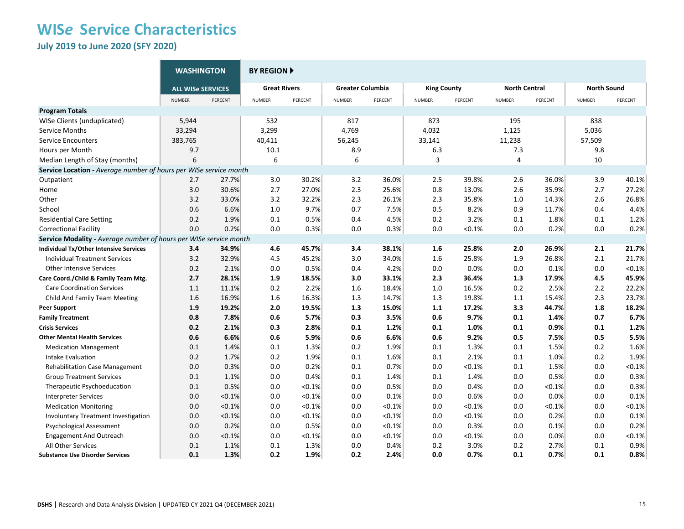**July 2019 to June 2020 (SFY 2020)**

|                                                                   | <b>WASHINGTON</b>        |         | <b>BY REGION F</b>  |           |                         |         |                    |           |                      |         |                    |           |  |
|-------------------------------------------------------------------|--------------------------|---------|---------------------|-----------|-------------------------|---------|--------------------|-----------|----------------------|---------|--------------------|-----------|--|
|                                                                   | <b>ALL WISe SERVICES</b> |         | <b>Great Rivers</b> |           | <b>Greater Columbia</b> |         | <b>King County</b> |           | <b>North Central</b> |         | <b>North Sound</b> |           |  |
|                                                                   | <b>NUMBER</b>            | PERCENT | <b>NUMBER</b>       | PERCENT   | <b>NUMBER</b>           | PERCENT | <b>NUMBER</b>      | PERCENT   | <b>NUMBER</b>        | PERCENT | <b>NUMBER</b>      | PERCENT   |  |
| <b>Program Totals</b>                                             |                          |         |                     |           |                         |         |                    |           |                      |         |                    |           |  |
| WISe Clients (unduplicated)                                       | 5,944                    |         | 532                 |           | 817                     |         | 873                |           | 195                  |         | 838                |           |  |
| Service Months                                                    | 33,294                   |         | 3,299               |           | 4,769                   |         | 4,032              |           | 1,125                |         | 5,036              |           |  |
| <b>Service Encounters</b>                                         | 383,765                  |         | 40,411              |           | 56,245                  |         | 33,141             |           | 11,238               |         | 57,509             |           |  |
| Hours per Month                                                   | 9.7                      |         | 10.1                |           | 8.9                     |         | 6.3                |           | 7.3                  |         | 9.8                |           |  |
| Median Length of Stay (months)                                    | 6                        |         | 6                   |           | 6                       |         | 3                  |           | 4                    |         | 10                 |           |  |
| Service Location - Average number of hours per WISe service month |                          |         |                     |           |                         |         |                    |           |                      |         |                    |           |  |
| Outpatient                                                        | 2.7                      | 27.7%   | 3.0                 | 30.2%     | 3.2                     | 36.0%   | 2.5                | 39.8%     | 2.6                  | 36.0%   | 3.9                | 40.1%     |  |
| Home                                                              | 3.0                      | 30.6%   | 2.7                 | 27.0%     | 2.3                     | 25.6%   | 0.8                | 13.0%     | 2.6                  | 35.9%   | 2.7                | 27.2%     |  |
| Other                                                             | 3.2                      | 33.0%   | 3.2                 | 32.2%     | 2.3                     | 26.1%   | 2.3                | 35.8%     | 1.0                  | 14.3%   | 2.6                | 26.8%     |  |
| School                                                            | 0.6                      | 6.6%    | 1.0                 | 9.7%      | 0.7                     | 7.5%    | 0.5                | 8.2%      | 0.9                  | 11.7%   | 0.4                | 4.4%      |  |
| <b>Residential Care Setting</b>                                   | 0.2                      | 1.9%    | 0.1                 | 0.5%      | 0.4                     | 4.5%    | 0.2                | 3.2%      | 0.1                  | 1.8%    | 0.1                | 1.2%      |  |
| <b>Correctional Facility</b>                                      | 0.0                      | 0.2%    | 0.0                 | 0.3%      | 0.0                     | 0.3%    | 0.0                | < 0.1%    | 0.0                  | 0.2%    | 0.0                | 0.2%      |  |
| Service Modality - Average number of hours per WISe service month |                          |         |                     |           |                         |         |                    |           |                      |         |                    |           |  |
| <b>Individual Tx/Other Intensive Services</b>                     | 3.4                      | 34.9%   | 4.6                 | 45.7%     | 3.4                     | 38.1%   | 1.6                | 25.8%     | 2.0                  | 26.9%   | 2.1                | 21.7%     |  |
| <b>Individual Treatment Services</b>                              | 3.2                      | 32.9%   | 4.5                 | 45.2%     | 3.0                     | 34.0%   | 1.6                | 25.8%     | 1.9                  | 26.8%   | 2.1                | 21.7%     |  |
| <b>Other Intensive Services</b>                                   | 0.2                      | 2.1%    | 0.0                 | 0.5%      | 0.4                     | 4.2%    | 0.0                | 0.0%      | 0.0                  | 0.1%    | 0.0                | < 0.1%    |  |
| Care Coord./Child & Family Team Mtg.                              | 2.7                      | 28.1%   | 1.9                 | 18.5%     | 3.0                     | 33.1%   | 2.3                | 36.4%     | 1.3                  | 17.9%   | 4.5                | 45.9%     |  |
| <b>Care Coordination Services</b>                                 | 1.1                      | 11.1%   | 0.2                 | 2.2%      | 1.6                     | 18.4%   | 1.0                | 16.5%     | 0.2                  | 2.5%    | 2.2                | 22.2%     |  |
| Child And Family Team Meeting                                     | 1.6                      | 16.9%   | 1.6                 | 16.3%     | 1.3                     | 14.7%   | 1.3                | 19.8%     | 1.1                  | 15.4%   | 2.3                | 23.7%     |  |
| <b>Peer Support</b>                                               | 1.9                      | 19.2%   | 2.0                 | 19.5%     | 1.3                     | 15.0%   | 1.1                | 17.2%     | 3.3                  | 44.7%   | 1.8                | 18.2%     |  |
| <b>Family Treatment</b>                                           | 0.8                      | 7.8%    | 0.6                 | 5.7%      | 0.3                     | 3.5%    | 0.6                | 9.7%      | 0.1                  | 1.4%    | 0.7                | 6.7%      |  |
| <b>Crisis Services</b>                                            | 0.2                      | 2.1%    | 0.3                 | 2.8%      | 0.1                     | 1.2%    | 0.1                | 1.0%      | 0.1                  | 0.9%    | 0.1                | 1.2%      |  |
| <b>Other Mental Health Services</b>                               | 0.6                      | 6.6%    | 0.6                 | 5.9%      | 0.6                     | 6.6%    | 0.6                | 9.2%      | 0.5                  | 7.5%    | 0.5                | 5.5%      |  |
| <b>Medication Management</b>                                      | 0.1                      | 1.4%    | 0.1                 | 1.3%      | 0.2                     | 1.9%    | 0.1                | 1.3%      | 0.1                  | 1.5%    | 0.2                | 1.6%      |  |
| Intake Evaluation                                                 | 0.2                      | 1.7%    | 0.2                 | 1.9%      | 0.1                     | 1.6%    | 0.1                | 2.1%      | 0.1                  | 1.0%    | 0.2                | 1.9%      |  |
| <b>Rehabilitation Case Management</b>                             | 0.0                      | 0.3%    | 0.0                 | 0.2%      | 0.1                     | 0.7%    | 0.0                | < 0.1%    | 0.1                  | 1.5%    | 0.0                | < 0.1%    |  |
| <b>Group Treatment Services</b>                                   | 0.1                      | 1.1%    | 0.0                 | 0.4%      | 0.1                     | 1.4%    | 0.1                | 1.4%      | 0.0                  | 0.5%    | 0.0                | 0.3%      |  |
| Therapeutic Psychoeducation                                       | 0.1                      | 0.5%    | 0.0                 | $< 0.1\%$ | 0.0                     | 0.5%    | 0.0                | 0.4%      | 0.0                  | < 0.1%  | 0.0                | 0.3%      |  |
| <b>Interpreter Services</b>                                       | 0.0                      | < 0.1%  | 0.0                 | < 0.1%    | 0.0                     | 0.1%    | 0.0                | 0.6%      | 0.0                  | 0.0%    | 0.0                | 0.1%      |  |
| <b>Medication Monitoring</b>                                      | 0.0                      | < 0.1%  | 0.0                 | < 0.1%    | 0.0                     | < 0.1%  | 0.0                | < 0.1%    | 0.0                  | < 0.1%  | 0.0                | < 0.1%    |  |
| <b>Involuntary Treatment Investigation</b>                        | 0.0                      | < 0.1%  | 0.0                 | < 0.1%    | 0.0                     | < 0.1%  | 0.0                | < 0.1%    | 0.0                  | 0.2%    | 0.0                | 0.1%      |  |
| <b>Psychological Assessment</b>                                   | 0.0                      | 0.2%    | 0.0                 | 0.5%      | 0.0                     | < 0.1%  | 0.0                | 0.3%      | 0.0                  | 0.1%    | 0.0                | 0.2%      |  |
| <b>Engagement And Outreach</b>                                    | 0.0                      | < 0.1%  | 0.0                 | $< 0.1\%$ | 0.0                     | < 0.1%  | 0.0                | $< 0.1\%$ | 0.0                  | 0.0%    | 0.0                | $< 0.1\%$ |  |
| All Other Services                                                | 0.1                      | 1.1%    | 0.1                 | 1.3%      | 0.0                     | 0.4%    | 0.2                | 3.0%      | 0.2                  | 2.7%    | 0.1                | 0.9%      |  |
| <b>Substance Use Disorder Services</b>                            | 0.1                      | 1.3%    | 0.2                 | 1.9%      | 0.2                     | 2.4%    | 0.0                | 0.7%      | 0.1                  | 0.7%    | 0.1                | 0.8%      |  |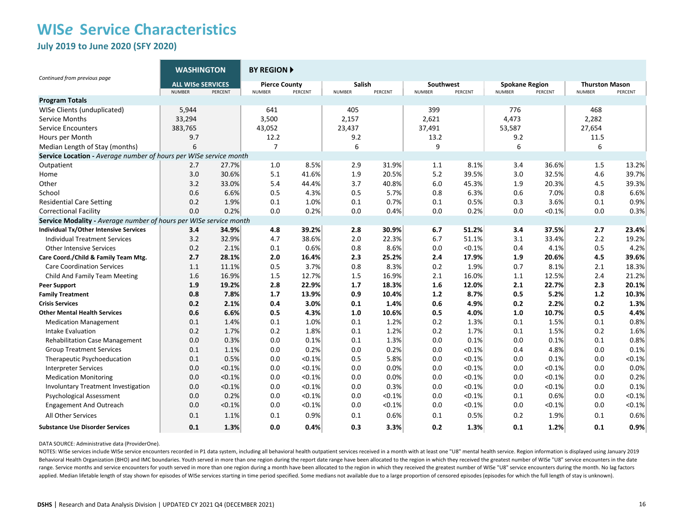**July 2019 to June 2020 (SFY 2020)**

|                                                                   | <b>WASHINGTON</b>                                    |        | <b>BY REGION A</b>                               |        |                                    |        |                                       |        |                                                   |        |                                                   |        |  |
|-------------------------------------------------------------------|------------------------------------------------------|--------|--------------------------------------------------|--------|------------------------------------|--------|---------------------------------------|--------|---------------------------------------------------|--------|---------------------------------------------------|--------|--|
| Continued from previous page                                      | <b>ALL WISe SERVICES</b><br><b>NUMBER</b><br>PERCENT |        | <b>Pierce County</b><br><b>NUMBER</b><br>PERCENT |        | Salish<br><b>NUMBER</b><br>PERCENT |        | Southwest<br>PERCENT<br><b>NUMBER</b> |        | <b>Spokane Region</b><br>PERCENT<br><b>NUMBER</b> |        | <b>Thurston Mason</b><br>PERCENT<br><b>NUMBER</b> |        |  |
| <b>Program Totals</b>                                             |                                                      |        |                                                  |        |                                    |        |                                       |        |                                                   |        |                                                   |        |  |
| WISe Clients (unduplicated)                                       | 5,944                                                |        | 641                                              |        | 405                                |        | 399                                   |        | 776                                               |        | 468                                               |        |  |
| Service Months                                                    | 33,294                                               |        | 3,500                                            |        | 2,157                              |        | 2,621                                 |        | 4,473                                             |        | 2,282                                             |        |  |
| <b>Service Encounters</b>                                         | 383,765                                              |        | 43,052                                           |        | 23,437                             |        | 37,491                                |        | 53,587                                            |        | 27,654                                            |        |  |
| Hours per Month                                                   | 9.7                                                  |        | 12.2                                             |        | 9.2                                |        | 13.2                                  |        | 9.2                                               |        | 11.5                                              |        |  |
| Median Length of Stay (months)                                    | 6                                                    |        | $\overline{7}$                                   |        | 6                                  |        | 9                                     |        | 6                                                 |        | 6                                                 |        |  |
| Service Location - Average number of hours per WISe service month |                                                      |        |                                                  |        |                                    |        |                                       |        |                                                   |        |                                                   |        |  |
| Outpatient                                                        | 2.7                                                  | 27.7%  | 1.0                                              | 8.5%   | 2.9                                | 31.9%  | 1.1                                   | 8.1%   | 3.4                                               | 36.6%  | 1.5                                               | 13.2%  |  |
| Home                                                              | 3.0                                                  | 30.6%  | 5.1                                              | 41.6%  | 1.9                                | 20.5%  | 5.2                                   | 39.5%  | 3.0                                               | 32.5%  | 4.6                                               | 39.7%  |  |
| Other                                                             | 3.2                                                  | 33.0%  | 5.4                                              | 44.4%  | 3.7                                | 40.8%  | 6.0                                   | 45.3%  | 1.9                                               | 20.3%  | 4.5                                               | 39.3%  |  |
| School                                                            | 0.6                                                  | 6.6%   | 0.5                                              | 4.3%   | 0.5                                | 5.7%   | 0.8                                   | 6.3%   | 0.6                                               | 7.0%   | 0.8                                               | 6.6%   |  |
| <b>Residential Care Setting</b>                                   | 0.2                                                  | 1.9%   | 0.1                                              | 1.0%   | 0.1                                | 0.7%   | 0.1                                   | 0.5%   | 0.3                                               | 3.6%   | 0.1                                               | 0.9%   |  |
| <b>Correctional Facility</b>                                      | 0.0                                                  | 0.2%   | 0.0                                              | 0.2%   | 0.0                                | 0.4%   | 0.0                                   | 0.2%   | 0.0                                               | < 0.1% | 0.0                                               | 0.3%   |  |
| Service Modality - Average number of hours per WISe service month |                                                      |        |                                                  |        |                                    |        |                                       |        |                                                   |        |                                                   |        |  |
| Individual Tx/Other Intensive Services                            | 3.4                                                  | 34.9%  | 4.8                                              | 39.2%  | 2.8                                | 30.9%  | 6.7                                   | 51.2%  | 3.4                                               | 37.5%  | 2.7                                               | 23.4%  |  |
| <b>Individual Treatment Services</b>                              | 3.2                                                  | 32.9%  | 4.7                                              | 38.6%  | 2.0                                | 22.3%  | 6.7                                   | 51.1%  | 3.1                                               | 33.4%  | 2.2                                               | 19.2%  |  |
| <b>Other Intensive Services</b>                                   | 0.2                                                  | 2.1%   | 0.1                                              | 0.6%   | 0.8                                | 8.6%   | 0.0                                   | < 0.1% | 0.4                                               | 4.1%   | 0.5                                               | 4.2%   |  |
| Care Coord./Child & Family Team Mtg.                              | 2.7                                                  | 28.1%  | 2.0                                              | 16.4%  | 2.3                                | 25.2%  | 2.4                                   | 17.9%  | 1.9                                               | 20.6%  | 4.5                                               | 39.6%  |  |
| <b>Care Coordination Services</b>                                 | 1.1                                                  | 11.1%  | 0.5                                              | 3.7%   | 0.8                                | 8.3%   | 0.2                                   | 1.9%   | 0.7                                               | 8.1%   | 2.1                                               | 18.3%  |  |
| Child And Family Team Meeting                                     | 1.6                                                  | 16.9%  | 1.5                                              | 12.7%  | 1.5                                | 16.9%  | 2.1                                   | 16.0%  | 1.1                                               | 12.5%  | 2.4                                               | 21.2%  |  |
| <b>Peer Support</b>                                               | 1.9                                                  | 19.2%  | 2.8                                              | 22.9%  | 1.7                                | 18.3%  | 1.6                                   | 12.0%  | 2.1                                               | 22.7%  | 2.3                                               | 20.1%  |  |
| <b>Family Treatment</b>                                           | 0.8                                                  | 7.8%   | 1.7                                              | 13.9%  | 0.9                                | 10.4%  | 1.2                                   | 8.7%   | 0.5                                               | 5.2%   | $1.2$                                             | 10.3%  |  |
| <b>Crisis Services</b>                                            | 0.2                                                  | 2.1%   | 0.4                                              | 3.0%   | 0.1                                | 1.4%   | 0.6                                   | 4.9%   | 0.2                                               | 2.2%   | 0.2                                               | 1.3%   |  |
| <b>Other Mental Health Services</b>                               | 0.6                                                  | 6.6%   | 0.5                                              | 4.3%   | 1.0                                | 10.6%  | 0.5                                   | 4.0%   | 1.0                                               | 10.7%  | 0.5                                               | 4.4%   |  |
| <b>Medication Management</b>                                      | 0.1                                                  | 1.4%   | 0.1                                              | 1.0%   | 0.1                                | 1.2%   | 0.2                                   | 1.3%   | 0.1                                               | 1.5%   | 0.1                                               | 0.8%   |  |
| Intake Evaluation                                                 | 0.2                                                  | 1.7%   | 0.2                                              | 1.8%   | 0.1                                | 1.2%   | 0.2                                   | 1.7%   | 0.1                                               | 1.5%   | 0.2                                               | 1.6%   |  |
| <b>Rehabilitation Case Management</b>                             | 0.0                                                  | 0.3%   | 0.0                                              | 0.1%   | 0.1                                | 1.3%   | 0.0                                   | 0.1%   | 0.0                                               | 0.1%   | 0.1                                               | 0.8%   |  |
| <b>Group Treatment Services</b>                                   | 0.1                                                  | 1.1%   | 0.0                                              | 0.2%   | 0.0                                | 0.2%   | 0.0                                   | < 0.1% | 0.4                                               | 4.8%   | 0.0                                               | 0.1%   |  |
| Therapeutic Psychoeducation                                       | 0.1                                                  | 0.5%   | 0.0                                              | < 0.1% | 0.5                                | 5.8%   | 0.0                                   | < 0.1% | 0.0                                               | 0.1%   | 0.0                                               | < 0.1% |  |
| <b>Interpreter Services</b>                                       | 0.0                                                  | < 0.1% | 0.0                                              | < 0.1% | 0.0                                | 0.0%   | 0.0                                   | < 0.1% | 0.0                                               | < 0.1% | 0.0                                               | 0.0%   |  |
| <b>Medication Monitoring</b>                                      | 0.0                                                  | < 0.1% | 0.0                                              | < 0.1% | 0.0                                | 0.0%   | 0.0                                   | < 0.1% | 0.0                                               | < 0.1% | 0.0                                               | 0.2%   |  |
| <b>Involuntary Treatment Investigation</b>                        | 0.0                                                  | < 0.1% | 0.0                                              | < 0.1% | 0.0                                | 0.3%   | 0.0                                   | < 0.1% | 0.0                                               | < 0.1% | 0.0                                               | 0.1%   |  |
| Psychological Assessment                                          | 0.0                                                  | 0.2%   | 0.0                                              | < 0.1% | 0.0                                | < 0.1% | 0.0                                   | < 0.1% | 0.1                                               | 0.6%   | 0.0                                               | < 0.1% |  |
| <b>Engagement And Outreach</b>                                    | 0.0                                                  | < 0.1% | 0.0                                              | < 0.1% | 0.0                                | < 0.1% | 0.0                                   | < 0.1% | 0.0                                               | < 0.1% | 0.0                                               | < 0.1% |  |
| All Other Services                                                | 0.1                                                  | 1.1%   | 0.1                                              | 0.9%   | 0.1                                | 0.6%   | 0.1                                   | 0.5%   | 0.2                                               | 1.9%   | 0.1                                               | 0.6%   |  |
| <b>Substance Use Disorder Services</b>                            | 0.1                                                  | 1.3%   | 0.0                                              | 0.4%   | 0.3                                | 3.3%   | 0.2                                   | 1.3%   | 0.1                                               | 1.2%   | 0.1                                               | 0.9%   |  |

#### DATA SOURCE: Administrative data (ProviderOne).

NOTES: WISe services include WISe service encounters recorded in P1 data system, including all behavioral health outpatient services received in a month with at least one "U8" mental health service. Region information is d Behavioral Health Organization (BHO) and IMC boundaries. Youth served in more than one region during the report date range have been allocated to the region in which they received the greatest number of WISe "U8" service e range. Service months and service encounters for youth served in more than one region during a month have been allocated to the region in which they received the greatest number of WISe "U8" service encounters during the m applied. Median lifetable length of stay shown for episodes of WISe services starting in time period specified. Some medians not available due to a large proportion of censored episodes (episodes for which the full length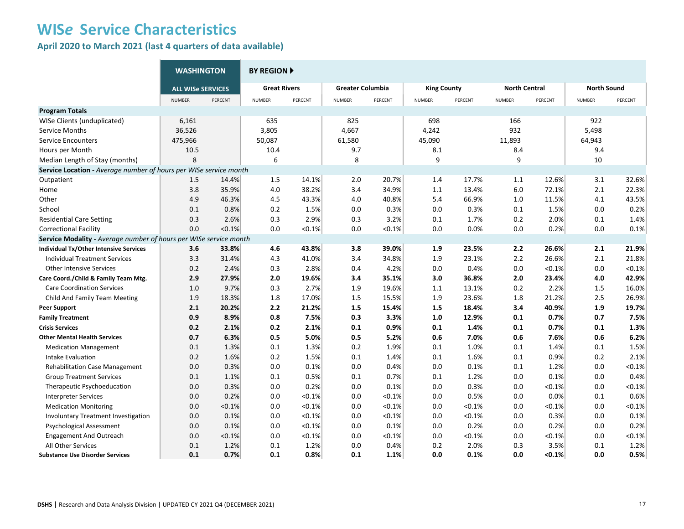**April 2020 to March 2021 (last 4 quarters of data available)**

|                                                                   | <b>WASHINGTON</b>        |         | <b>BY REGION ▶</b>  |           |                         |         |                    |           |                      |         |                    |         |  |
|-------------------------------------------------------------------|--------------------------|---------|---------------------|-----------|-------------------------|---------|--------------------|-----------|----------------------|---------|--------------------|---------|--|
|                                                                   | <b>ALL WISe SERVICES</b> |         | <b>Great Rivers</b> |           | <b>Greater Columbia</b> |         | <b>King County</b> |           | <b>North Central</b> |         | <b>North Sound</b> |         |  |
|                                                                   | <b>NUMBER</b>            | PERCENT | <b>NUMBER</b>       | PERCENT   | <b>NUMBER</b>           | PERCENT | <b>NUMBER</b>      | PERCENT   | <b>NUMBER</b>        | PERCENT | <b>NUMBER</b>      | PERCENT |  |
| <b>Program Totals</b>                                             |                          |         |                     |           |                         |         |                    |           |                      |         |                    |         |  |
| WISe Clients (unduplicated)                                       | 6,161                    |         | 635                 |           | 825                     |         | 698                |           | 166                  |         | 922                |         |  |
| Service Months                                                    | 36,526                   |         | 3,805               |           | 4,667                   |         | 4,242              |           | 932                  |         | 5,498              |         |  |
| <b>Service Encounters</b>                                         | 475,966                  |         | 50,087              |           | 61,580                  |         | 45,090             |           | 11,893               |         | 64,943             |         |  |
| Hours per Month                                                   | 10.5                     |         | 10.4                |           | 9.7                     |         | 8.1                |           | 8.4                  |         | 9.4                |         |  |
| Median Length of Stay (months)                                    | 8                        |         | 6                   |           | 8                       |         | 9                  |           | 9                    |         | 10                 |         |  |
| Service Location - Average number of hours per WISe service month |                          |         |                     |           |                         |         |                    |           |                      |         |                    |         |  |
| Outpatient                                                        | 1.5                      | 14.4%   | 1.5                 | 14.1%     | 2.0                     | 20.7%   | 1.4                | 17.7%     | 1.1                  | 12.6%   | 3.1                | 32.6%   |  |
| Home                                                              | 3.8                      | 35.9%   | 4.0                 | 38.2%     | 3.4                     | 34.9%   | 1.1                | 13.4%     | 6.0                  | 72.1%   | 2.1                | 22.3%   |  |
| Other                                                             | 4.9                      | 46.3%   | 4.5                 | 43.3%     | 4.0                     | 40.8%   | 5.4                | 66.9%     | 1.0                  | 11.5%   | 4.1                | 43.5%   |  |
| School                                                            | 0.1                      | 0.8%    | 0.2                 | 1.5%      | 0.0                     | 0.3%    | 0.0                | 0.3%      | 0.1                  | 1.5%    | 0.0                | 0.2%    |  |
| <b>Residential Care Setting</b>                                   | 0.3                      | 2.6%    | 0.3                 | 2.9%      | 0.3                     | 3.2%    | 0.1                | 1.7%      | 0.2                  | 2.0%    | 0.1                | 1.4%    |  |
| <b>Correctional Facility</b>                                      | 0.0                      | < 0.1%  | 0.0                 | < 0.1%    | 0.0                     | < 0.1%  | 0.0                | 0.0%      | 0.0                  | 0.2%    | 0.0                | 0.1%    |  |
| Service Modality - Average number of hours per WISe service month |                          |         |                     |           |                         |         |                    |           |                      |         |                    |         |  |
| <b>Individual Tx/Other Intensive Services</b>                     | 3.6                      | 33.8%   | 4.6                 | 43.8%     | 3.8                     | 39.0%   | 1.9                | 23.5%     | 2.2                  | 26.6%   | 2.1                | 21.9%   |  |
| <b>Individual Treatment Services</b>                              | 3.3                      | 31.4%   | 4.3                 | 41.0%     | 3.4                     | 34.8%   | 1.9                | 23.1%     | 2.2                  | 26.6%   | 2.1                | 21.8%   |  |
| <b>Other Intensive Services</b>                                   | 0.2                      | 2.4%    | 0.3                 | 2.8%      | 0.4                     | 4.2%    | 0.0                | 0.4%      | 0.0                  | < 0.1%  | 0.0                | < 0.1%  |  |
| Care Coord./Child & Family Team Mtg.                              | 2.9                      | 27.9%   | 2.0                 | 19.6%     | 3.4                     | 35.1%   | 3.0                | 36.8%     | 2.0                  | 23.4%   | 4.0                | 42.9%   |  |
| <b>Care Coordination Services</b>                                 | 1.0                      | 9.7%    | 0.3                 | 2.7%      | 1.9                     | 19.6%   | 1.1                | 13.1%     | 0.2                  | 2.2%    | 1.5                | 16.0%   |  |
| Child And Family Team Meeting                                     | 1.9                      | 18.3%   | 1.8                 | 17.0%     | 1.5                     | 15.5%   | 1.9                | 23.6%     | 1.8                  | 21.2%   | 2.5                | 26.9%   |  |
| <b>Peer Support</b>                                               | 2.1                      | 20.2%   | 2.2                 | 21.2%     | 1.5                     | 15.4%   | 1.5                | 18.4%     | 3.4                  | 40.9%   | 1.9                | 19.7%   |  |
| <b>Family Treatment</b>                                           | 0.9                      | 8.9%    | 0.8                 | 7.5%      | 0.3                     | 3.3%    | 1.0                | 12.9%     | 0.1                  | 0.7%    | 0.7                | 7.5%    |  |
| <b>Crisis Services</b>                                            | 0.2                      | 2.1%    | 0.2                 | 2.1%      | 0.1                     | 0.9%    | 0.1                | 1.4%      | 0.1                  | 0.7%    | 0.1                | 1.3%    |  |
| <b>Other Mental Health Services</b>                               | 0.7                      | 6.3%    | 0.5                 | 5.0%      | 0.5                     | 5.2%    | 0.6                | 7.0%      | 0.6                  | 7.6%    | 0.6                | 6.2%    |  |
| <b>Medication Management</b>                                      | 0.1                      | 1.3%    | 0.1                 | 1.3%      | 0.2                     | 1.9%    | 0.1                | 1.0%      | 0.1                  | 1.4%    | 0.1                | 1.5%    |  |
| Intake Evaluation                                                 | 0.2                      | 1.6%    | 0.2                 | 1.5%      | 0.1                     | 1.4%    | 0.1                | 1.6%      | 0.1                  | 0.9%    | 0.2                | 2.1%    |  |
| <b>Rehabilitation Case Management</b>                             | 0.0                      | 0.3%    | 0.0                 | 0.1%      | 0.0                     | 0.4%    | 0.0                | 0.1%      | 0.1                  | 1.2%    | 0.0                | < 0.1%  |  |
| <b>Group Treatment Services</b>                                   | 0.1                      | 1.1%    | 0.1                 | 0.5%      | 0.1                     | 0.7%    | 0.1                | 1.2%      | 0.0                  | 0.1%    | 0.0                | 0.4%    |  |
| Therapeutic Psychoeducation                                       | 0.0                      | 0.3%    | 0.0                 | 0.2%      | 0.0                     | 0.1%    | 0.0                | 0.3%      | 0.0                  | < 0.1%  | 0.0                | < 0.1%  |  |
| <b>Interpreter Services</b>                                       | 0.0                      | 0.2%    | 0.0                 | < 0.1%    | 0.0                     | < 0.1%  | 0.0                | 0.5%      | 0.0                  | 0.0%    | 0.1                | 0.6%    |  |
| <b>Medication Monitoring</b>                                      | 0.0                      | < 0.1%  | 0.0                 | $< 0.1\%$ | 0.0                     | < 0.1%  | 0.0                | $< 0.1\%$ | 0.0                  | < 0.1%  | 0.0                | < 0.1%  |  |
| <b>Involuntary Treatment Investigation</b>                        | 0.0                      | 0.1%    | 0.0                 | < 0.1%    | 0.0                     | < 0.1%  | 0.0                | < 0.1%    | 0.0                  | 0.3%    | 0.0                | 0.1%    |  |
| <b>Psychological Assessment</b>                                   | 0.0                      | 0.1%    | 0.0                 | < 0.1%    | 0.0                     | 0.1%    | 0.0                | 0.2%      | 0.0                  | 0.2%    | 0.0                | 0.2%    |  |
| <b>Engagement And Outreach</b>                                    | 0.0                      | < 0.1%  | 0.0                 | < 0.1%    | 0.0                     | < 0.1%  | 0.0                | < 0.1%    | 0.0                  | < 0.1%  | 0.0                | < 0.1%  |  |
| All Other Services                                                | 0.1                      | 1.2%    | 0.1                 | 1.2%      | 0.0                     | 0.4%    | 0.2                | 2.0%      | 0.3                  | 3.5%    | 0.1                | 1.2%    |  |
| <b>Substance Use Disorder Services</b>                            | 0.1                      | 0.7%    | 0.1                 | 0.8%      | 0.1                     | 1.1%    | 0.0                | 0.1%      | 0.0                  | < 0.1%  | 0.0                | 0.5%    |  |